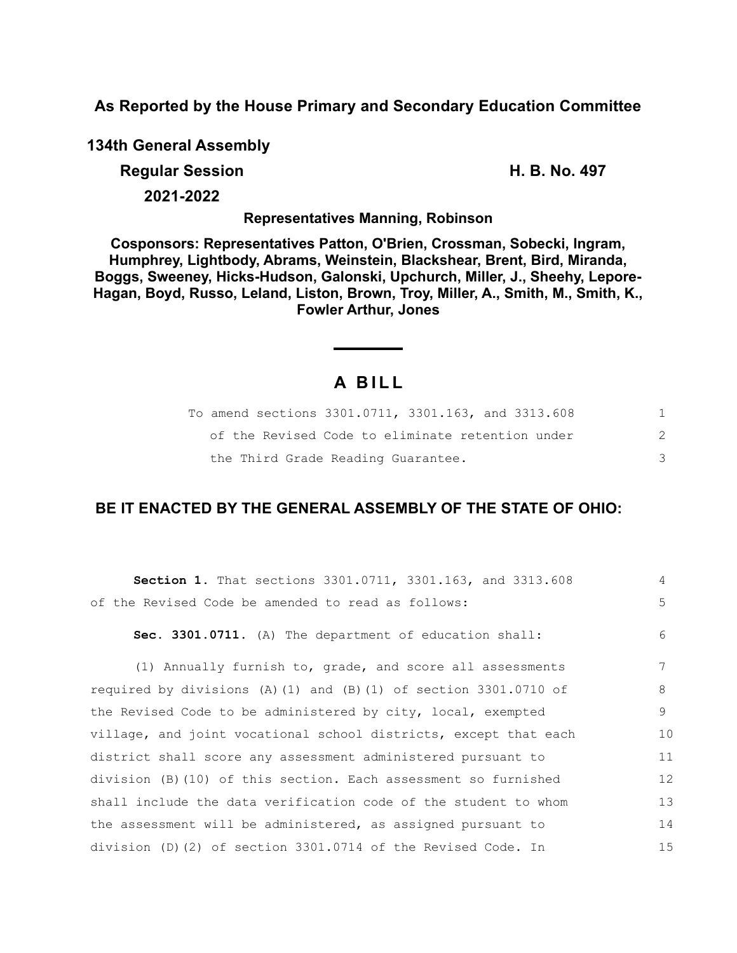**As Reported by the House Primary and Secondary Education Committee**

**134th General Assembly**

**Regular Session H. B. No. 497**

**2021-2022**

## **Representatives Manning, Robinson**

**Cosponsors: Representatives Patton, O'Brien, Crossman, Sobecki, Ingram, Humphrey, Lightbody, Abrams, Weinstein, Blackshear, Brent, Bird, Miranda, Boggs, Sweeney, Hicks-Hudson, Galonski, Upchurch, Miller, J., Sheehy, Lepore-Hagan, Boyd, Russo, Leland, Liston, Brown, Troy, Miller, A., Smith, M., Smith, K., Fowler Arthur, Jones**

# **A B I L L**

| To amend sections 3301.0711, 3301.163, and 3313.608 |  |
|-----------------------------------------------------|--|
| of the Revised Code to eliminate retention under    |  |
| the Third Grade Reading Guarantee.                  |  |

## **BE IT ENACTED BY THE GENERAL ASSEMBLY OF THE STATE OF OHIO:**

| Section 1. That sections 3301.0711, 3301.163, and 3313.608        | $\overline{4}$ |
|-------------------------------------------------------------------|----------------|
| of the Revised Code be amended to read as follows:                | $5^{\circ}$    |
| Sec. 3301.0711. (A) The department of education shall:            | 6              |
| (1) Annually furnish to, grade, and score all assessments         | 7              |
| required by divisions (A)(1) and (B)(1) of section $3301.0710$ of | 8              |
| the Revised Code to be administered by city, local, exempted      | $\circ$        |
| village, and joint vocational school districts, except that each  | 10             |
| district shall score any assessment administered pursuant to      | 11             |
| division (B) (10) of this section. Each assessment so furnished   | 12             |
| shall include the data verification code of the student to whom   | 13             |
| the assessment will be administered, as assigned pursuant to      | 14             |
| division (D)(2) of section 3301.0714 of the Revised Code. In      | 15             |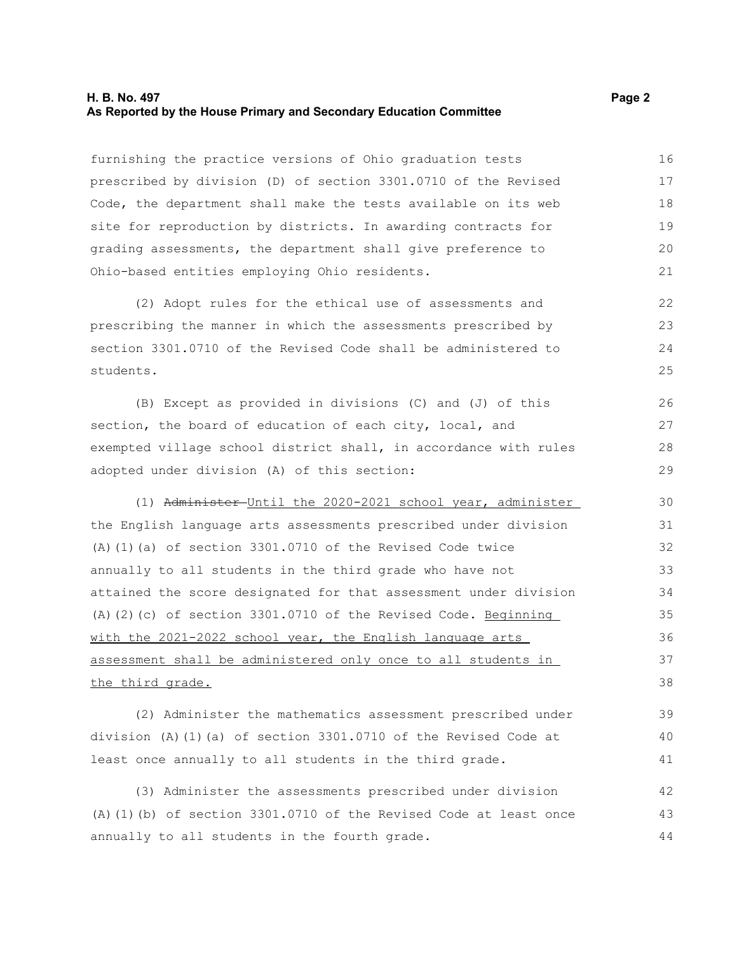#### **H. B. No. 497** Page 2 **As Reported by the House Primary and Secondary Education Committee**

furnishing the practice versions of Ohio graduation tests prescribed by division (D) of section 3301.0710 of the Revised Code, the department shall make the tests available on its web site for reproduction by districts. In awarding contracts for grading assessments, the department shall give preference to Ohio-based entities employing Ohio residents. 16 17 18 19  $20$ 21

(2) Adopt rules for the ethical use of assessments and prescribing the manner in which the assessments prescribed by section 3301.0710 of the Revised Code shall be administered to students. 22 23  $24$ 25

(B) Except as provided in divisions (C) and (J) of this section, the board of education of each city, local, and exempted village school district shall, in accordance with rules adopted under division (A) of this section: 26 27 28 29

(1) Administer-Until the 2020-2021 school year, administer the English language arts assessments prescribed under division (A)(1)(a) of section 3301.0710 of the Revised Code twice annually to all students in the third grade who have not attained the score designated for that assessment under division (A)(2)(c) of section 3301.0710 of the Revised Code. Beginning with the 2021-2022 school year, the English language arts assessment shall be administered only once to all students in the third grade. 30 31 32 33 34 35 36 37 38

(2) Administer the mathematics assessment prescribed under division (A)(1)(a) of section 3301.0710 of the Revised Code at least once annually to all students in the third grade.

(3) Administer the assessments prescribed under division (A)(1)(b) of section 3301.0710 of the Revised Code at least once annually to all students in the fourth grade. 42 43 44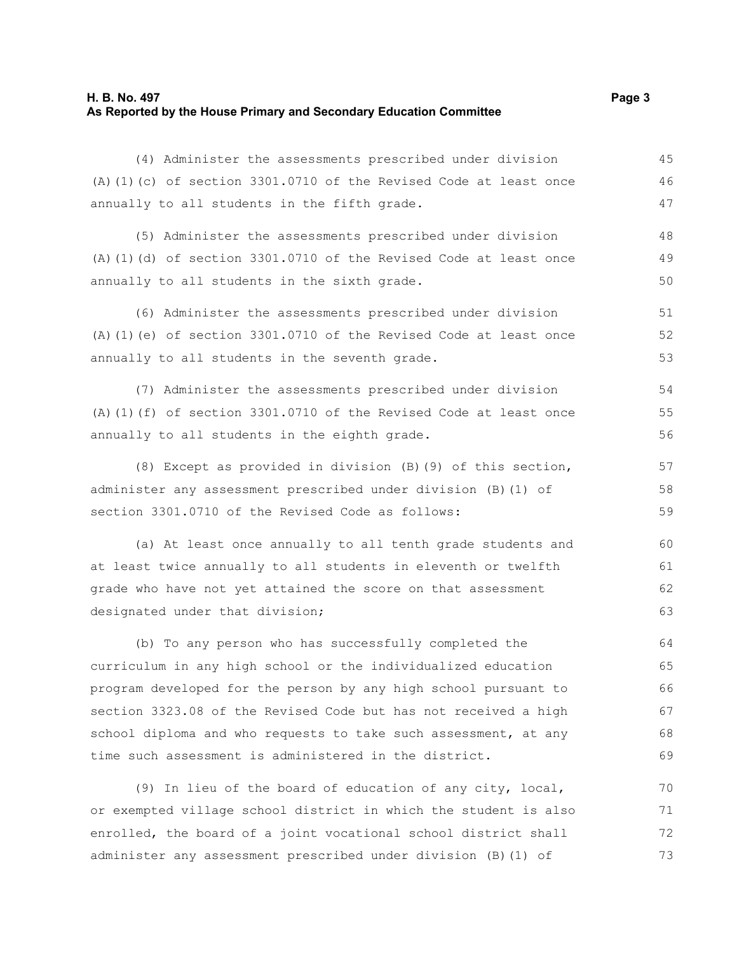#### **H. B. No. 497** Page 3 **As Reported by the House Primary and Secondary Education Committee**

(4) Administer the assessments prescribed under division (A)(1)(c) of section 3301.0710 of the Revised Code at least once annually to all students in the fifth grade. 45 46 47

(5) Administer the assessments prescribed under division (A)(1)(d) of section 3301.0710 of the Revised Code at least once annually to all students in the sixth grade. 48 49 50

(6) Administer the assessments prescribed under division (A)(1)(e) of section 3301.0710 of the Revised Code at least once annually to all students in the seventh grade. 51 52 53

(7) Administer the assessments prescribed under division (A)(1)(f) of section 3301.0710 of the Revised Code at least once annually to all students in the eighth grade. 54 55 56

(8) Except as provided in division (B)(9) of this section, administer any assessment prescribed under division (B)(1) of section 3301.0710 of the Revised Code as follows:

(a) At least once annually to all tenth grade students and at least twice annually to all students in eleventh or twelfth grade who have not yet attained the score on that assessment designated under that division;

(b) To any person who has successfully completed the curriculum in any high school or the individualized education program developed for the person by any high school pursuant to section 3323.08 of the Revised Code but has not received a high school diploma and who requests to take such assessment, at any time such assessment is administered in the district. 64 65 66 67 68 69

(9) In lieu of the board of education of any city, local, or exempted village school district in which the student is also enrolled, the board of a joint vocational school district shall administer any assessment prescribed under division (B)(1) of 70 71 72 73

57 58 59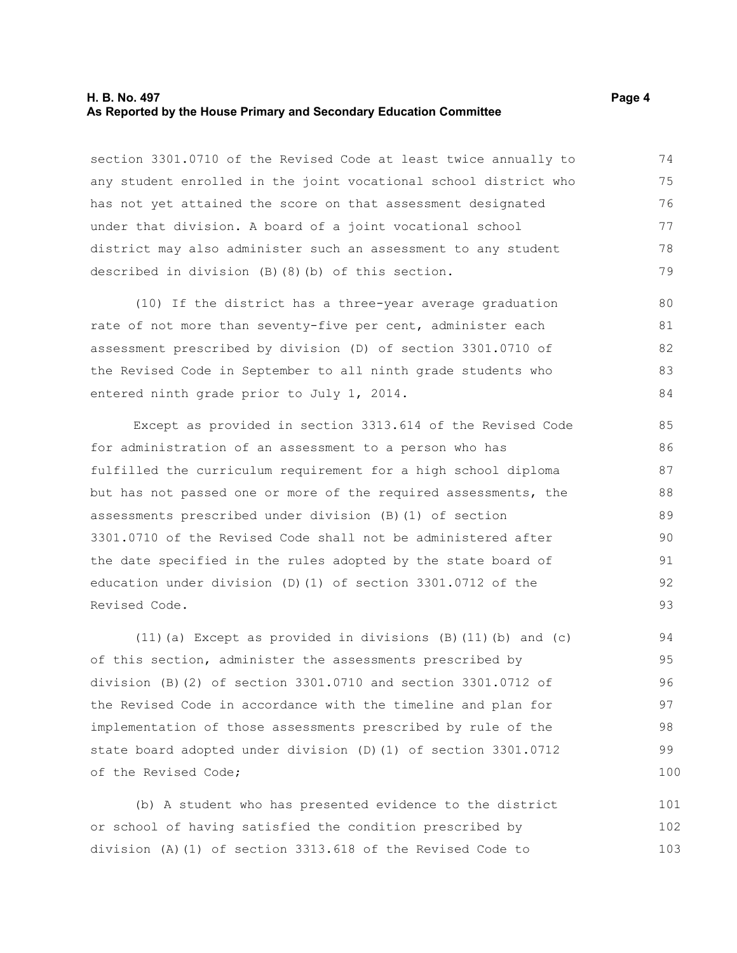#### **H. B. No. 497** Page 4 **As Reported by the House Primary and Secondary Education Committee**

section 3301.0710 of the Revised Code at least twice annually to any student enrolled in the joint vocational school district who has not yet attained the score on that assessment designated under that division. A board of a joint vocational school district may also administer such an assessment to any student described in division (B)(8)(b) of this section. 74 75 76 77 78 79

(10) If the district has a three-year average graduation rate of not more than seventy-five per cent, administer each assessment prescribed by division (D) of section 3301.0710 of the Revised Code in September to all ninth grade students who entered ninth grade prior to July 1, 2014. 80 81 82 83 84

Except as provided in section 3313.614 of the Revised Code for administration of an assessment to a person who has fulfilled the curriculum requirement for a high school diploma but has not passed one or more of the required assessments, the assessments prescribed under division (B)(1) of section 3301.0710 of the Revised Code shall not be administered after the date specified in the rules adopted by the state board of education under division (D)(1) of section 3301.0712 of the Revised Code.

 $(11)(a)$  Except as provided in divisions  $(B)(11)(b)$  and  $(c)$ of this section, administer the assessments prescribed by division (B)(2) of section 3301.0710 and section 3301.0712 of the Revised Code in accordance with the timeline and plan for implementation of those assessments prescribed by rule of the state board adopted under division (D)(1) of section 3301.0712 of the Revised Code; 94 95 96 97 98 99 100

(b) A student who has presented evidence to the district or school of having satisfied the condition prescribed by division (A)(1) of section 3313.618 of the Revised Code to 101 102 103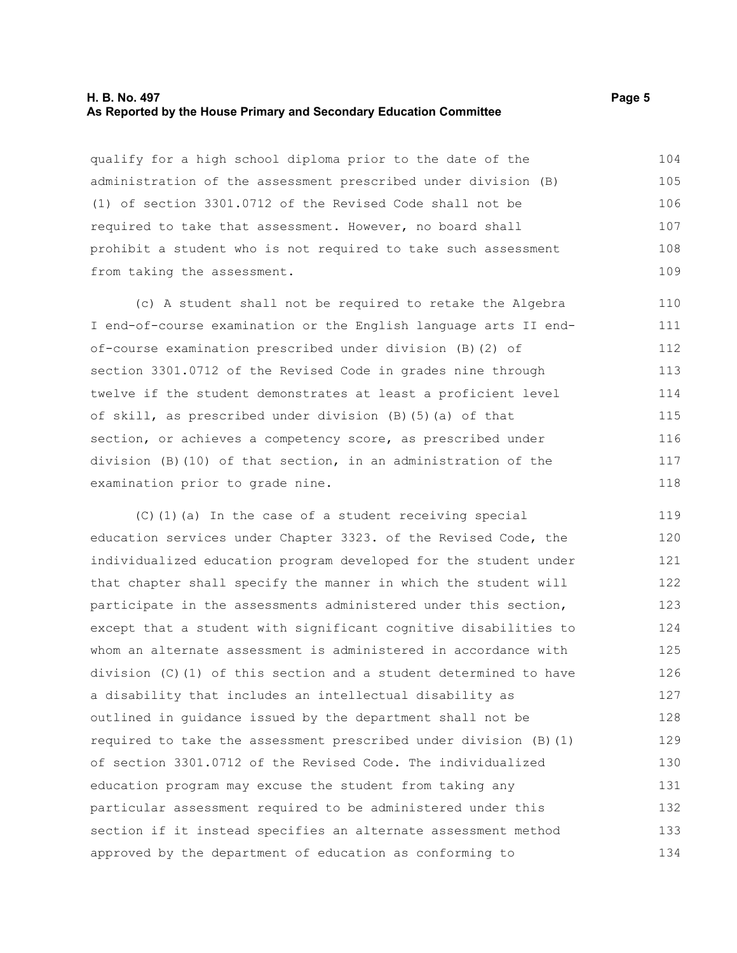#### **H. B. No. 497** Page 5 **As Reported by the House Primary and Secondary Education Committee**

qualify for a high school diploma prior to the date of the administration of the assessment prescribed under division (B) (1) of section 3301.0712 of the Revised Code shall not be required to take that assessment. However, no board shall prohibit a student who is not required to take such assessment from taking the assessment. 104 105 106 107 108 109

(c) A student shall not be required to retake the Algebra I end-of-course examination or the English language arts II endof-course examination prescribed under division (B)(2) of section 3301.0712 of the Revised Code in grades nine through twelve if the student demonstrates at least a proficient level of skill, as prescribed under division (B)(5)(a) of that section, or achieves a competency score, as prescribed under division (B)(10) of that section, in an administration of the examination prior to grade nine. 110 111 112 113 114 115 116 117 118

(C)(1)(a) In the case of a student receiving special education services under Chapter 3323. of the Revised Code, the individualized education program developed for the student under that chapter shall specify the manner in which the student will participate in the assessments administered under this section, except that a student with significant cognitive disabilities to whom an alternate assessment is administered in accordance with division (C)(1) of this section and a student determined to have a disability that includes an intellectual disability as outlined in guidance issued by the department shall not be required to take the assessment prescribed under division (B)(1) of section 3301.0712 of the Revised Code. The individualized education program may excuse the student from taking any particular assessment required to be administered under this section if it instead specifies an alternate assessment method approved by the department of education as conforming to 119 120 121 122 123 124 125 126 127 128 129 130 131 132 133 134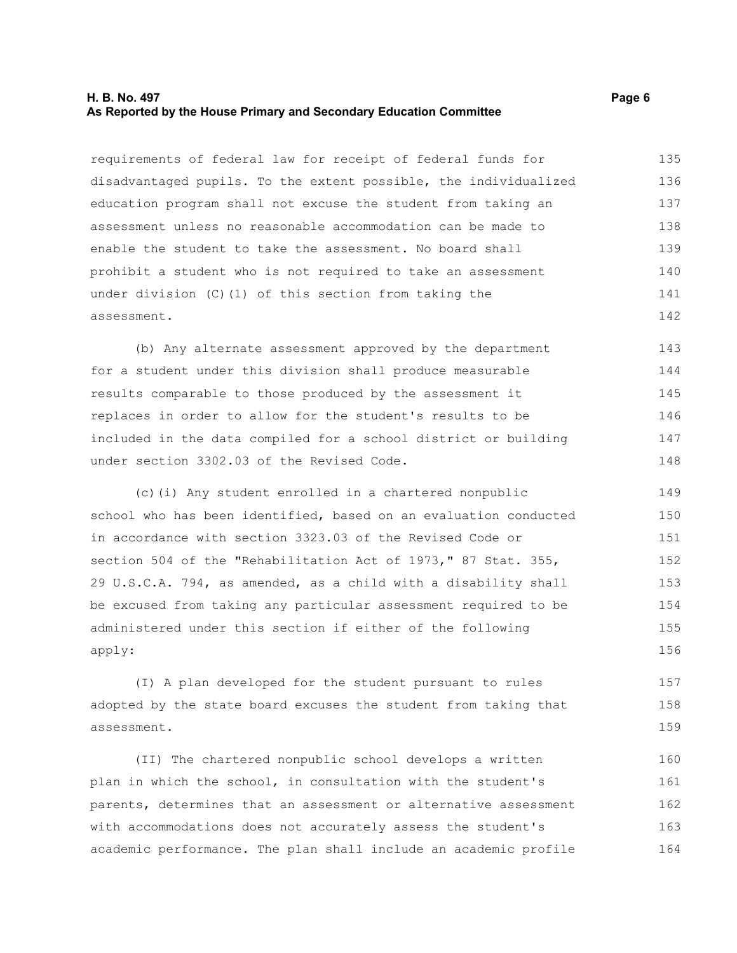#### **H. B. No. 497** Page 6 **As Reported by the House Primary and Secondary Education Committee**

requirements of federal law for receipt of federal funds for disadvantaged pupils. To the extent possible, the individualized education program shall not excuse the student from taking an assessment unless no reasonable accommodation can be made to enable the student to take the assessment. No board shall prohibit a student who is not required to take an assessment under division (C)(1) of this section from taking the assessment. 135 136 137 138 139 140 141 142

(b) Any alternate assessment approved by the department for a student under this division shall produce measurable results comparable to those produced by the assessment it replaces in order to allow for the student's results to be included in the data compiled for a school district or building under section 3302.03 of the Revised Code. 143 144 145 146 147 148

(c)(i) Any student enrolled in a chartered nonpublic school who has been identified, based on an evaluation conducted in accordance with section 3323.03 of the Revised Code or section 504 of the "Rehabilitation Act of 1973," 87 Stat. 355, 29 U.S.C.A. 794, as amended, as a child with a disability shall be excused from taking any particular assessment required to be administered under this section if either of the following apply: 149 150 151 152 153 154 155 156

(I) A plan developed for the student pursuant to rules adopted by the state board excuses the student from taking that assessment. 157 158 159

(II) The chartered nonpublic school develops a written plan in which the school, in consultation with the student's parents, determines that an assessment or alternative assessment with accommodations does not accurately assess the student's academic performance. The plan shall include an academic profile 160 161 162 163 164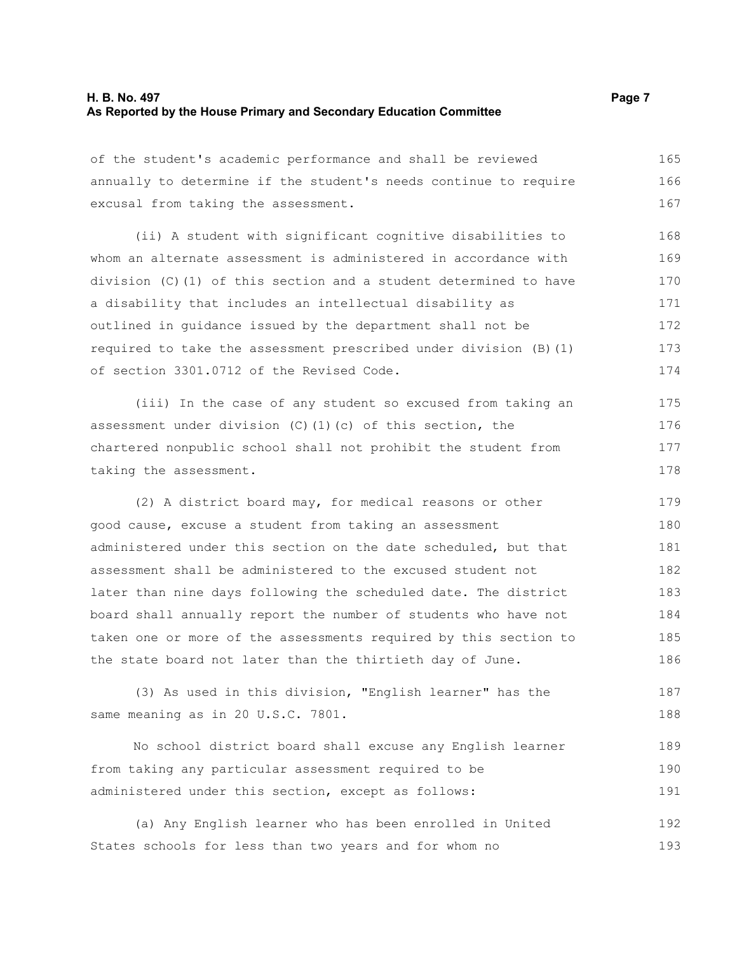## **H. B. No. 497** Page 7 **As Reported by the House Primary and Secondary Education Committee**

of the student's academic performance and shall be reviewed annually to determine if the student's needs continue to require excusal from taking the assessment. 165 166 167

(ii) A student with significant cognitive disabilities to whom an alternate assessment is administered in accordance with division (C)(1) of this section and a student determined to have a disability that includes an intellectual disability as outlined in guidance issued by the department shall not be required to take the assessment prescribed under division (B)(1) of section 3301.0712 of the Revised Code. 168 169 170 171 172 173 174

(iii) In the case of any student so excused from taking an assessment under division (C)(1)(c) of this section, the chartered nonpublic school shall not prohibit the student from taking the assessment. 175 176 177 178

(2) A district board may, for medical reasons or other good cause, excuse a student from taking an assessment administered under this section on the date scheduled, but that assessment shall be administered to the excused student not later than nine days following the scheduled date. The district board shall annually report the number of students who have not taken one or more of the assessments required by this section to the state board not later than the thirtieth day of June. 179 180 181 182 183 184 185 186

(3) As used in this division, "English learner" has the same meaning as in 20 U.S.C. 7801. 187 188

No school district board shall excuse any English learner from taking any particular assessment required to be administered under this section, except as follows: 189 190 191

(a) Any English learner who has been enrolled in United States schools for less than two years and for whom no 192 193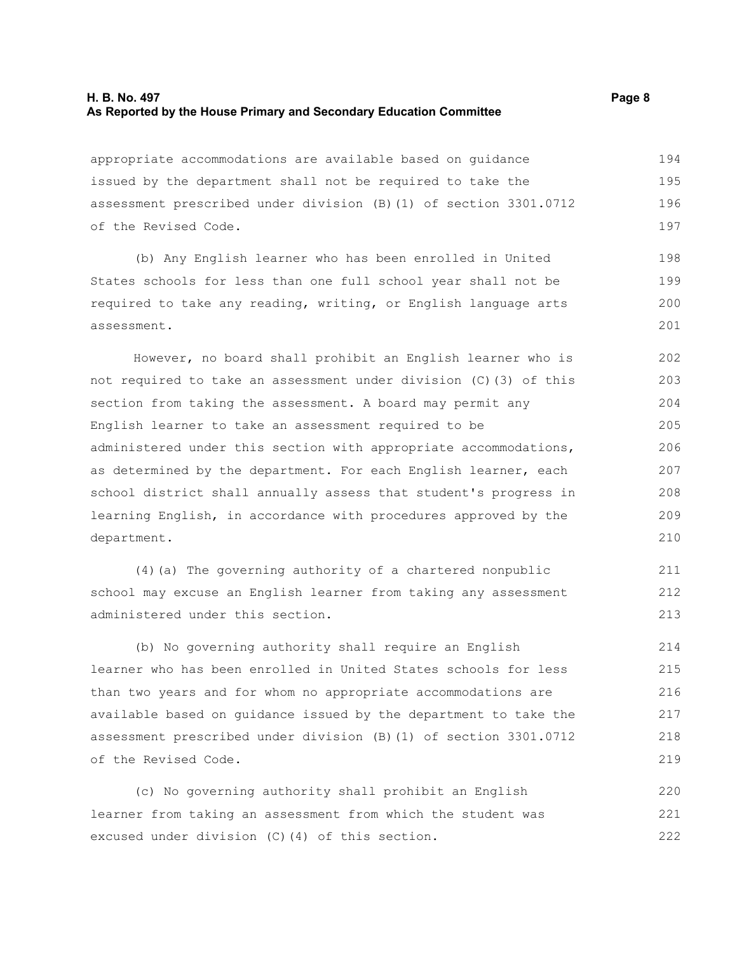## **H. B. No. 497 Page 8 As Reported by the House Primary and Secondary Education Committee**

appropriate accommodations are available based on guidance issued by the department shall not be required to take the assessment prescribed under division (B)(1) of section 3301.0712 of the Revised Code. 194 195 196 197

(b) Any English learner who has been enrolled in United States schools for less than one full school year shall not be required to take any reading, writing, or English language arts assessment.

However, no board shall prohibit an English learner who is not required to take an assessment under division (C)(3) of this section from taking the assessment. A board may permit any English learner to take an assessment required to be administered under this section with appropriate accommodations, as determined by the department. For each English learner, each school district shall annually assess that student's progress in learning English, in accordance with procedures approved by the department.

(4)(a) The governing authority of a chartered nonpublic school may excuse an English learner from taking any assessment administered under this section.

(b) No governing authority shall require an English learner who has been enrolled in United States schools for less than two years and for whom no appropriate accommodations are available based on guidance issued by the department to take the assessment prescribed under division (B)(1) of section 3301.0712 of the Revised Code. 214 215 216 217 218 219

(c) No governing authority shall prohibit an English learner from taking an assessment from which the student was excused under division (C)(4) of this section. 220 221 222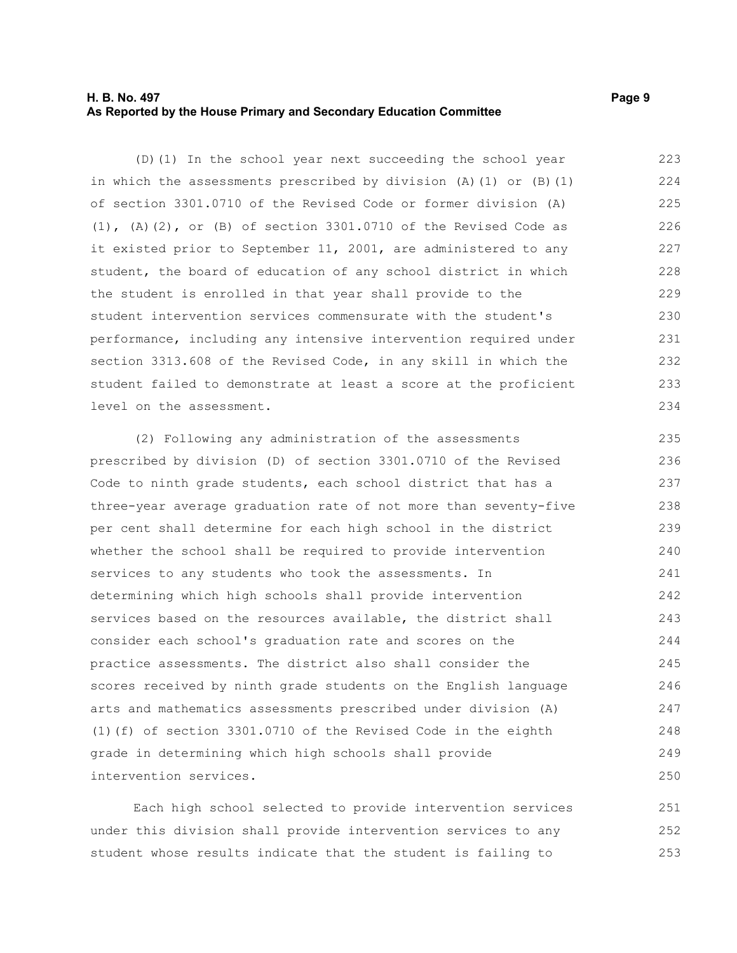## **H. B. No. 497 Page 9 As Reported by the House Primary and Secondary Education Committee**

(D)(1) In the school year next succeeding the school year in which the assessments prescribed by division  $(A)$  (1) or  $(B)$  (1) of section 3301.0710 of the Revised Code or former division (A)  $(1)$ ,  $(A)$   $(2)$ , or  $(B)$  of section 3301.0710 of the Revised Code as it existed prior to September 11, 2001, are administered to any student, the board of education of any school district in which the student is enrolled in that year shall provide to the student intervention services commensurate with the student's performance, including any intensive intervention required under section 3313.608 of the Revised Code, in any skill in which the student failed to demonstrate at least a score at the proficient level on the assessment. 223 224 225 226 227 228 229 230 231 232 233 234

(2) Following any administration of the assessments prescribed by division (D) of section 3301.0710 of the Revised Code to ninth grade students, each school district that has a three-year average graduation rate of not more than seventy-five per cent shall determine for each high school in the district whether the school shall be required to provide intervention services to any students who took the assessments. In determining which high schools shall provide intervention services based on the resources available, the district shall consider each school's graduation rate and scores on the practice assessments. The district also shall consider the scores received by ninth grade students on the English language arts and mathematics assessments prescribed under division (A) (1)(f) of section 3301.0710 of the Revised Code in the eighth grade in determining which high schools shall provide intervention services. 235 236 237 238 239 240 241 242 243 244 245 246 247 248 249 250

Each high school selected to provide intervention services under this division shall provide intervention services to any student whose results indicate that the student is failing to 251 252 253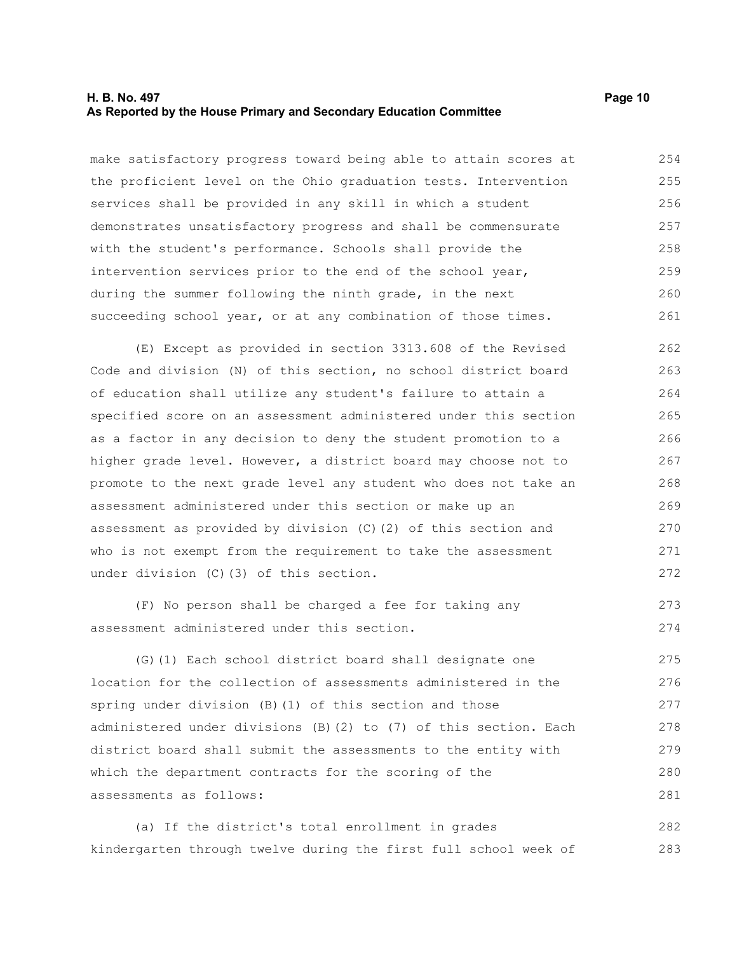#### **H. B. No. 497 Page 10 As Reported by the House Primary and Secondary Education Committee**

make satisfactory progress toward being able to attain scores at the proficient level on the Ohio graduation tests. Intervention services shall be provided in any skill in which a student demonstrates unsatisfactory progress and shall be commensurate with the student's performance. Schools shall provide the intervention services prior to the end of the school year, during the summer following the ninth grade, in the next succeeding school year, or at any combination of those times. 254 255 256 257 258 259 260 261

(E) Except as provided in section 3313.608 of the Revised Code and division (N) of this section, no school district board of education shall utilize any student's failure to attain a specified score on an assessment administered under this section as a factor in any decision to deny the student promotion to a higher grade level. However, a district board may choose not to promote to the next grade level any student who does not take an assessment administered under this section or make up an assessment as provided by division (C)(2) of this section and who is not exempt from the requirement to take the assessment under division (C)(3) of this section. 262 263 264 265 266 267 268 269 270 271 272

(F) No person shall be charged a fee for taking any assessment administered under this section. 273 274

(G)(1) Each school district board shall designate one location for the collection of assessments administered in the spring under division (B)(1) of this section and those administered under divisions (B)(2) to (7) of this section. Each district board shall submit the assessments to the entity with which the department contracts for the scoring of the assessments as follows: 275 276 277 278 279 280 281

(a) If the district's total enrollment in grades kindergarten through twelve during the first full school week of 282 283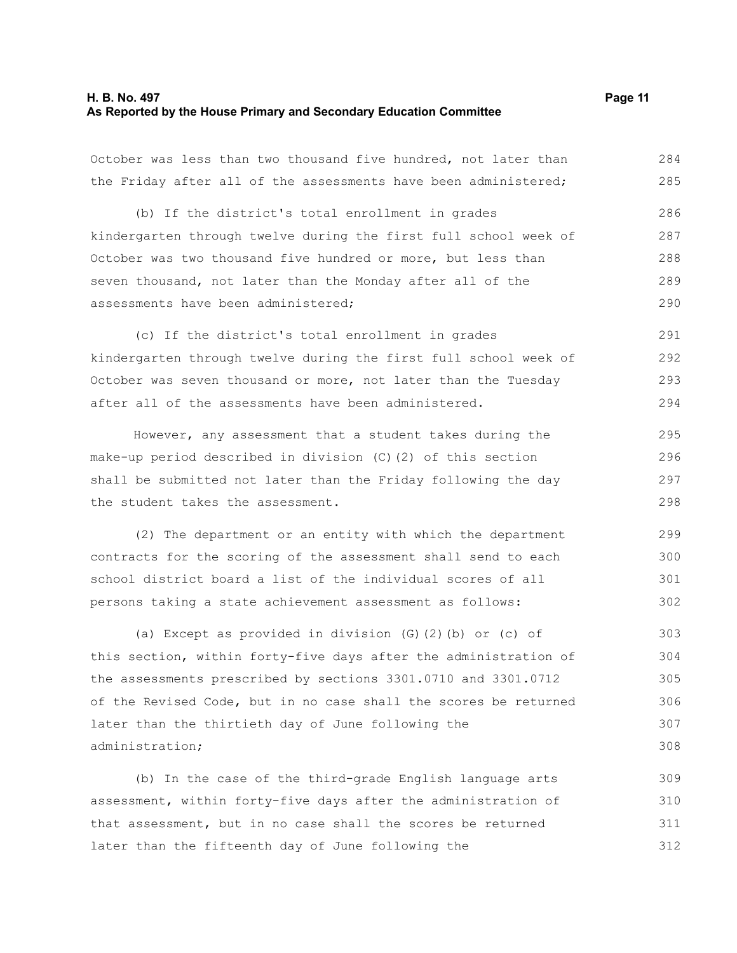#### **H. B. No. 497 Page 11 As Reported by the House Primary and Secondary Education Committee**

October was less than two thousand five hundred, not later than the Friday after all of the assessments have been administered; 284 285

(b) If the district's total enrollment in grades kindergarten through twelve during the first full school week of October was two thousand five hundred or more, but less than seven thousand, not later than the Monday after all of the assessments have been administered; 286 287 288 289 290

(c) If the district's total enrollment in grades kindergarten through twelve during the first full school week of October was seven thousand or more, not later than the Tuesday after all of the assessments have been administered. 291 292 293 294

However, any assessment that a student takes during the make-up period described in division (C)(2) of this section shall be submitted not later than the Friday following the day the student takes the assessment. 295 296 297 298

(2) The department or an entity with which the department contracts for the scoring of the assessment shall send to each school district board a list of the individual scores of all persons taking a state achievement assessment as follows: 299 300 301 302

(a) Except as provided in division (G)(2)(b) or (c) of this section, within forty-five days after the administration of the assessments prescribed by sections 3301.0710 and 3301.0712 of the Revised Code, but in no case shall the scores be returned later than the thirtieth day of June following the administration; 303 304 305 306 307 308

(b) In the case of the third-grade English language arts assessment, within forty-five days after the administration of that assessment, but in no case shall the scores be returned later than the fifteenth day of June following the 309 310 311 312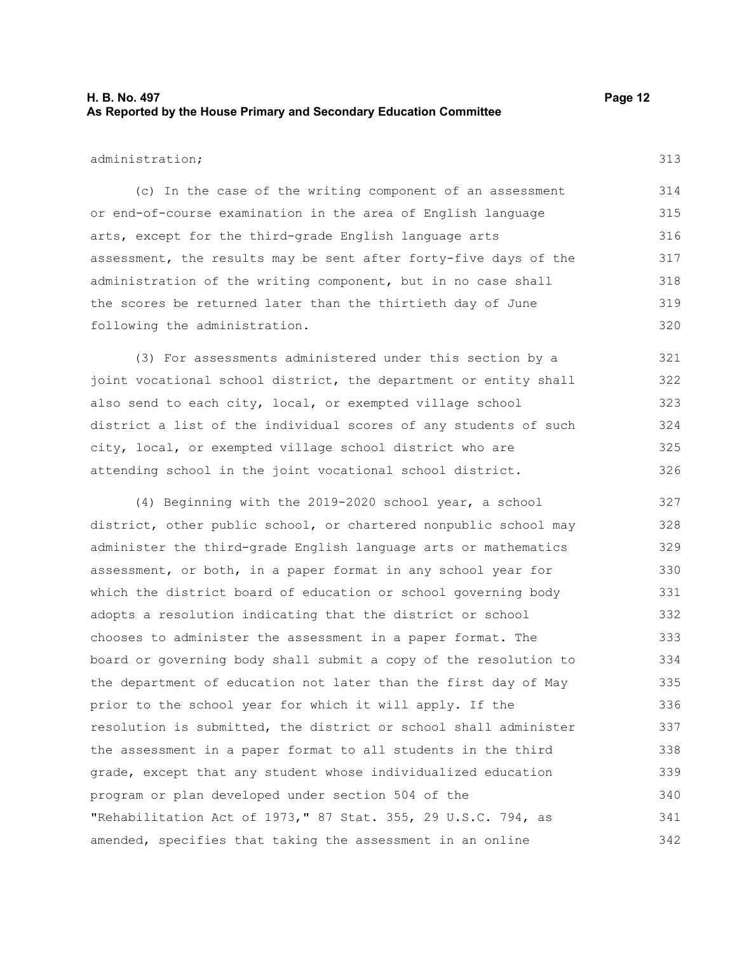## **H. B. No. 497 Page 12 As Reported by the House Primary and Secondary Education Committee**

#### administration;

313

(c) In the case of the writing component of an assessment or end-of-course examination in the area of English language arts, except for the third-grade English language arts assessment, the results may be sent after forty-five days of the administration of the writing component, but in no case shall the scores be returned later than the thirtieth day of June following the administration. 314 315 316 317 318 319 320

(3) For assessments administered under this section by a joint vocational school district, the department or entity shall also send to each city, local, or exempted village school district a list of the individual scores of any students of such city, local, or exempted village school district who are attending school in the joint vocational school district. 321 322 323 324 325 326

(4) Beginning with the 2019-2020 school year, a school district, other public school, or chartered nonpublic school may administer the third-grade English language arts or mathematics assessment, or both, in a paper format in any school year for which the district board of education or school governing body adopts a resolution indicating that the district or school chooses to administer the assessment in a paper format. The board or governing body shall submit a copy of the resolution to the department of education not later than the first day of May prior to the school year for which it will apply. If the resolution is submitted, the district or school shall administer the assessment in a paper format to all students in the third grade, except that any student whose individualized education program or plan developed under section 504 of the "Rehabilitation Act of 1973," 87 Stat. 355, 29 U.S.C. 794, as amended, specifies that taking the assessment in an online 327 328 329 330 331 332 333 334 335 336 337 338 339 340 341 342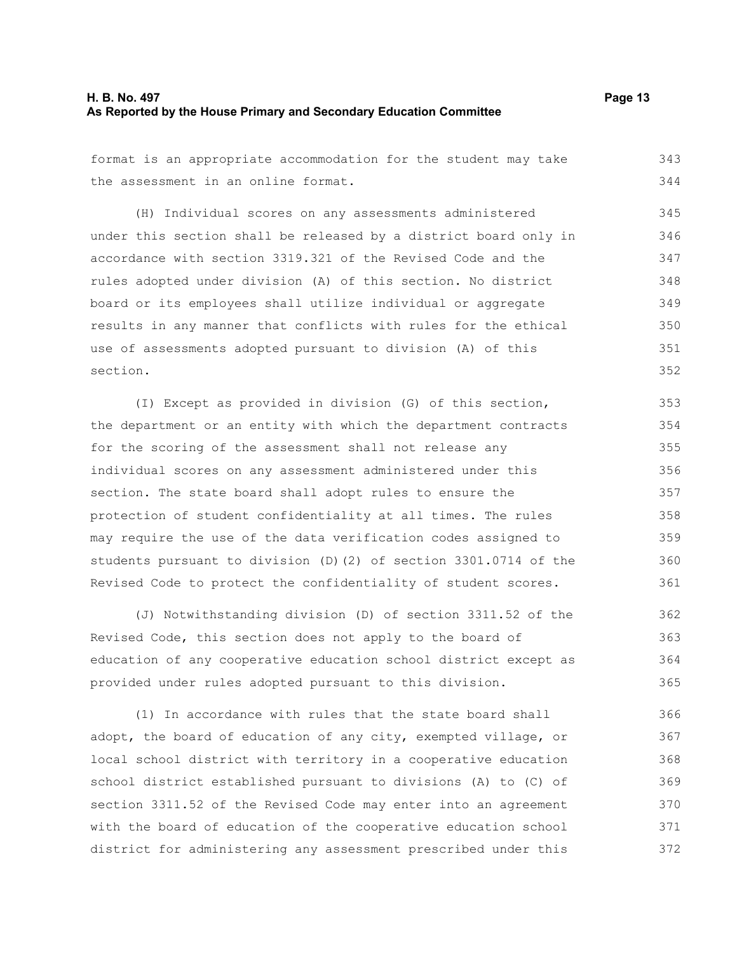## **H. B. No. 497 Page 13 As Reported by the House Primary and Secondary Education Committee**

format is an appropriate accommodation for the student may take the assessment in an online format. 343 344

(H) Individual scores on any assessments administered under this section shall be released by a district board only in accordance with section 3319.321 of the Revised Code and the rules adopted under division (A) of this section. No district board or its employees shall utilize individual or aggregate results in any manner that conflicts with rules for the ethical use of assessments adopted pursuant to division (A) of this section. 345 346 347 348 349 350 351 352

(I) Except as provided in division (G) of this section, the department or an entity with which the department contracts for the scoring of the assessment shall not release any individual scores on any assessment administered under this section. The state board shall adopt rules to ensure the protection of student confidentiality at all times. The rules may require the use of the data verification codes assigned to students pursuant to division (D)(2) of section 3301.0714 of the Revised Code to protect the confidentiality of student scores. 353 354 355 356 357 358 359 360 361

(J) Notwithstanding division (D) of section 3311.52 of the Revised Code, this section does not apply to the board of education of any cooperative education school district except as provided under rules adopted pursuant to this division. 362 363 364 365

(1) In accordance with rules that the state board shall adopt, the board of education of any city, exempted village, or local school district with territory in a cooperative education school district established pursuant to divisions (A) to (C) of section 3311.52 of the Revised Code may enter into an agreement with the board of education of the cooperative education school district for administering any assessment prescribed under this 366 367 368 369 370 371 372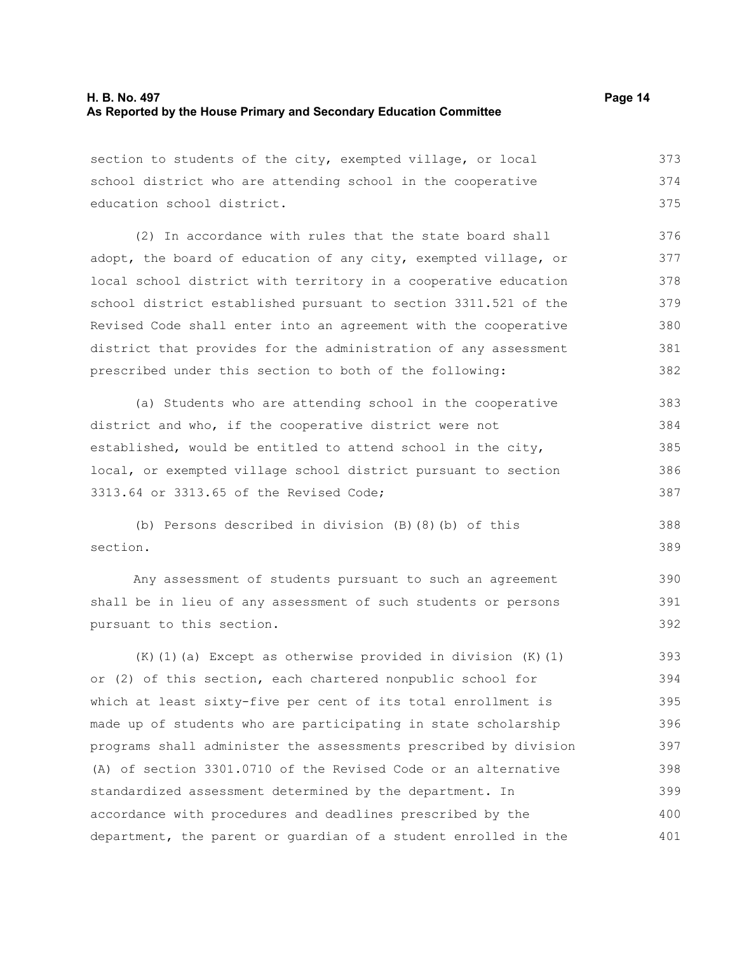section to students of the city, exempted village, or local school district who are attending school in the cooperative education school district. 373 374 375

(2) In accordance with rules that the state board shall adopt, the board of education of any city, exempted village, or local school district with territory in a cooperative education school district established pursuant to section 3311.521 of the Revised Code shall enter into an agreement with the cooperative district that provides for the administration of any assessment prescribed under this section to both of the following: 376 377 378 379 380 381 382

(a) Students who are attending school in the cooperative district and who, if the cooperative district were not established, would be entitled to attend school in the city, local, or exempted village school district pursuant to section 3313.64 or 3313.65 of the Revised Code; 383 384 385 386 387

(b) Persons described in division (B)(8)(b) of this section. 388 389

Any assessment of students pursuant to such an agreement shall be in lieu of any assessment of such students or persons pursuant to this section.

 $(K)$  (1) (a) Except as otherwise provided in division  $(K)$  (1) or (2) of this section, each chartered nonpublic school for which at least sixty-five per cent of its total enrollment is made up of students who are participating in state scholarship programs shall administer the assessments prescribed by division (A) of section 3301.0710 of the Revised Code or an alternative standardized assessment determined by the department. In accordance with procedures and deadlines prescribed by the department, the parent or guardian of a student enrolled in the 393 394 395 396 397 398 399 400 401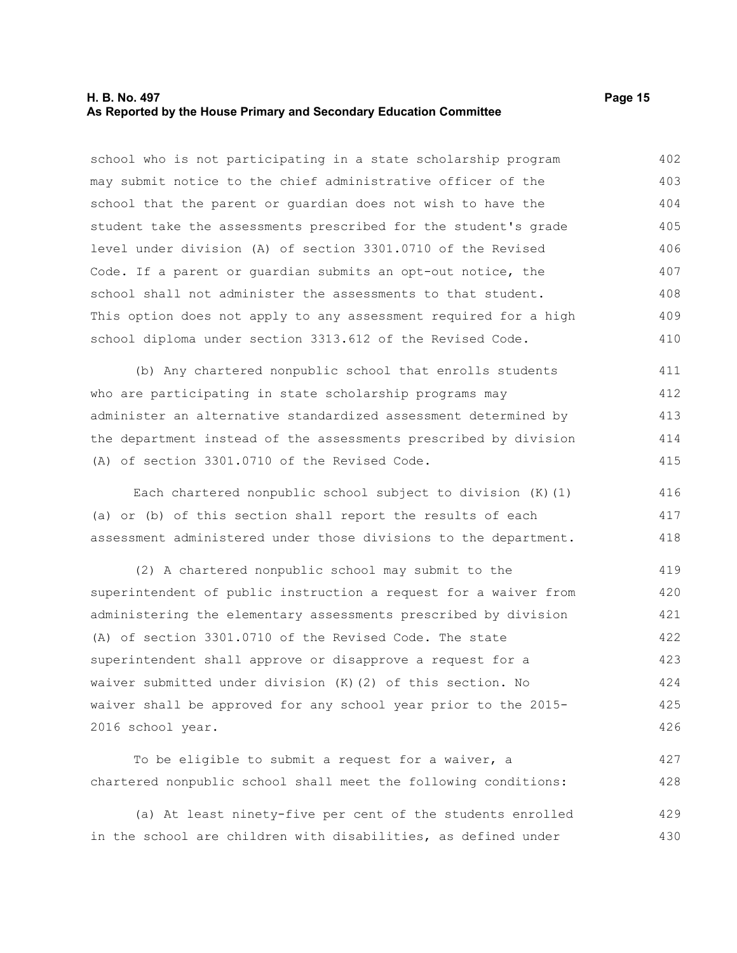#### **H. B. No. 497 Page 15 As Reported by the House Primary and Secondary Education Committee**

school who is not participating in a state scholarship program may submit notice to the chief administrative officer of the school that the parent or guardian does not wish to have the student take the assessments prescribed for the student's grade level under division (A) of section 3301.0710 of the Revised Code. If a parent or guardian submits an opt-out notice, the school shall not administer the assessments to that student. This option does not apply to any assessment required for a high school diploma under section 3313.612 of the Revised Code. 402 403 404 405 406 407 408 409 410

(b) Any chartered nonpublic school that enrolls students who are participating in state scholarship programs may administer an alternative standardized assessment determined by the department instead of the assessments prescribed by division (A) of section 3301.0710 of the Revised Code. 411 412 413 414 415

Each chartered nonpublic school subject to division (K)(1) (a) or (b) of this section shall report the results of each assessment administered under those divisions to the department. 416 417 418

(2) A chartered nonpublic school may submit to the superintendent of public instruction a request for a waiver from administering the elementary assessments prescribed by division (A) of section 3301.0710 of the Revised Code. The state superintendent shall approve or disapprove a request for a waiver submitted under division (K)(2) of this section. No waiver shall be approved for any school year prior to the 2015- 2016 school year. 419 420 421 422 423 424 425 426

To be eligible to submit a request for a waiver, a chartered nonpublic school shall meet the following conditions: 427 428

(a) At least ninety-five per cent of the students enrolled in the school are children with disabilities, as defined under 429 430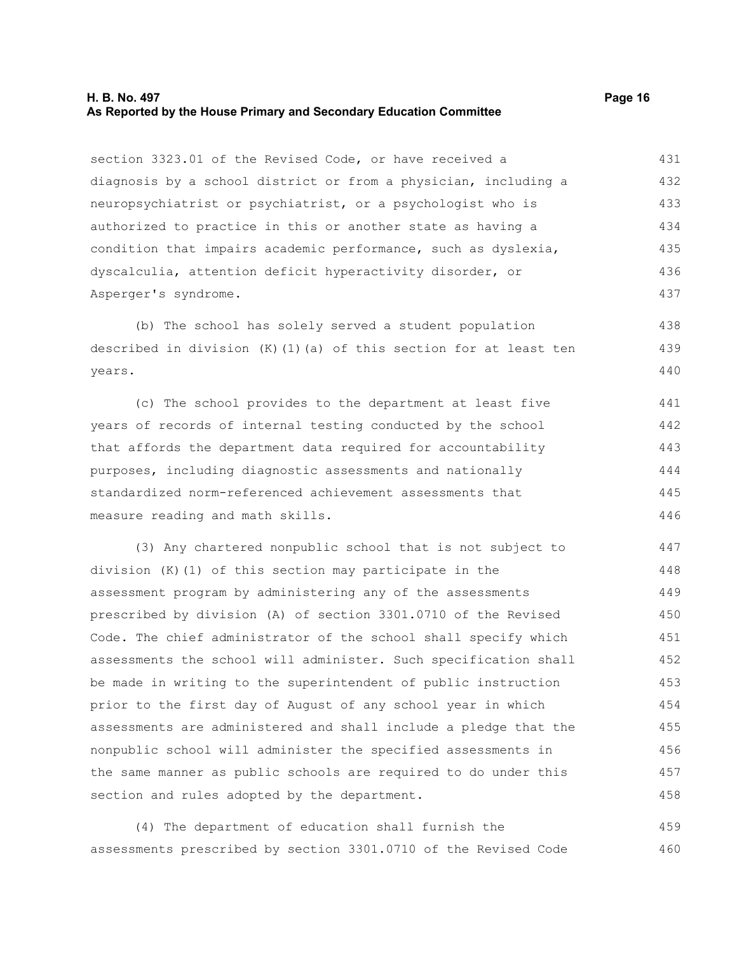#### **H. B. No. 497 Page 16 As Reported by the House Primary and Secondary Education Committee**

section 3323.01 of the Revised Code, or have received a diagnosis by a school district or from a physician, including a neuropsychiatrist or psychiatrist, or a psychologist who is authorized to practice in this or another state as having a condition that impairs academic performance, such as dyslexia, dyscalculia, attention deficit hyperactivity disorder, or Asperger's syndrome. 431 432 433 434 435 436 437

(b) The school has solely served a student population described in division  $(K)$  (1)(a) of this section for at least ten years. 438 439 440

(c) The school provides to the department at least five years of records of internal testing conducted by the school that affords the department data required for accountability purposes, including diagnostic assessments and nationally standardized norm-referenced achievement assessments that measure reading and math skills. 441 442 443 444 445 446

(3) Any chartered nonpublic school that is not subject to division (K)(1) of this section may participate in the assessment program by administering any of the assessments prescribed by division (A) of section 3301.0710 of the Revised Code. The chief administrator of the school shall specify which assessments the school will administer. Such specification shall be made in writing to the superintendent of public instruction prior to the first day of August of any school year in which assessments are administered and shall include a pledge that the nonpublic school will administer the specified assessments in the same manner as public schools are required to do under this section and rules adopted by the department. 447 448 449 450 451 452 453 454 455 456 457 458

(4) The department of education shall furnish the assessments prescribed by section 3301.0710 of the Revised Code 459 460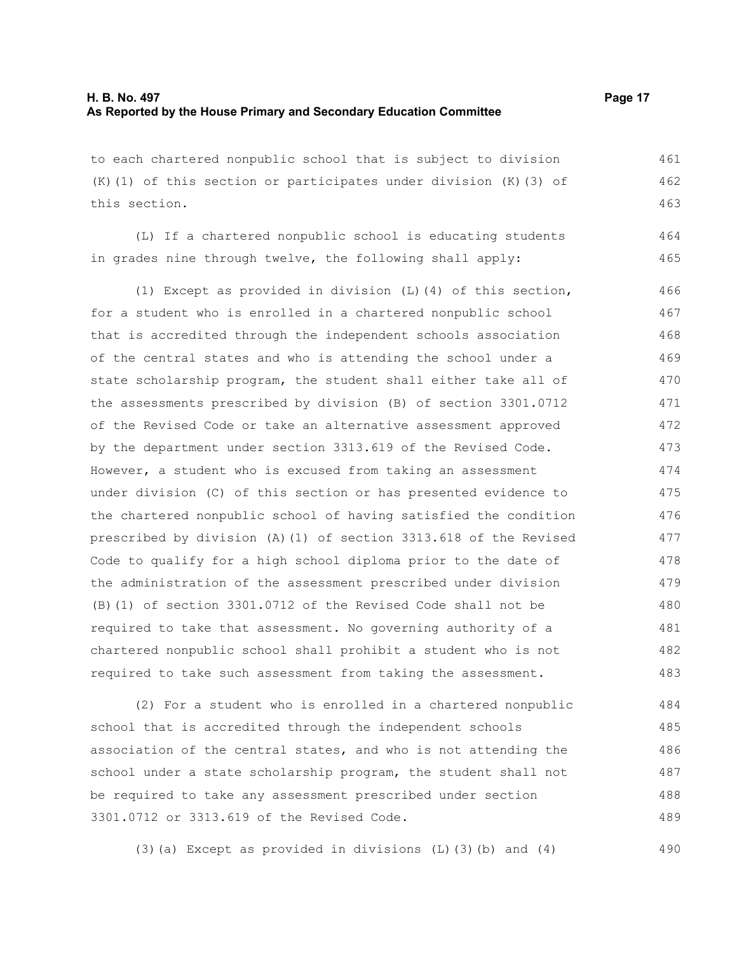to each chartered nonpublic school that is subject to division  $(K)$  (1) of this section or participates under division  $(K)$  (3) of this section. 461 462 463

(L) If a chartered nonpublic school is educating students in grades nine through twelve, the following shall apply: 464 465

(1) Except as provided in division (L)(4) of this section, for a student who is enrolled in a chartered nonpublic school that is accredited through the independent schools association of the central states and who is attending the school under a state scholarship program, the student shall either take all of the assessments prescribed by division (B) of section 3301.0712 of the Revised Code or take an alternative assessment approved by the department under section 3313.619 of the Revised Code. However, a student who is excused from taking an assessment under division (C) of this section or has presented evidence to the chartered nonpublic school of having satisfied the condition prescribed by division (A)(1) of section 3313.618 of the Revised Code to qualify for a high school diploma prior to the date of the administration of the assessment prescribed under division (B)(1) of section 3301.0712 of the Revised Code shall not be required to take that assessment. No governing authority of a chartered nonpublic school shall prohibit a student who is not required to take such assessment from taking the assessment. 466 467 468 469 470 471 472 473 474 475 476 477 478 479 480 481 482 483

(2) For a student who is enrolled in a chartered nonpublic school that is accredited through the independent schools association of the central states, and who is not attending the school under a state scholarship program, the student shall not be required to take any assessment prescribed under section 3301.0712 or 3313.619 of the Revised Code. 484 485 486 487 488 489

(3)(a) Except as provided in divisions (L)(3)(b) and (4)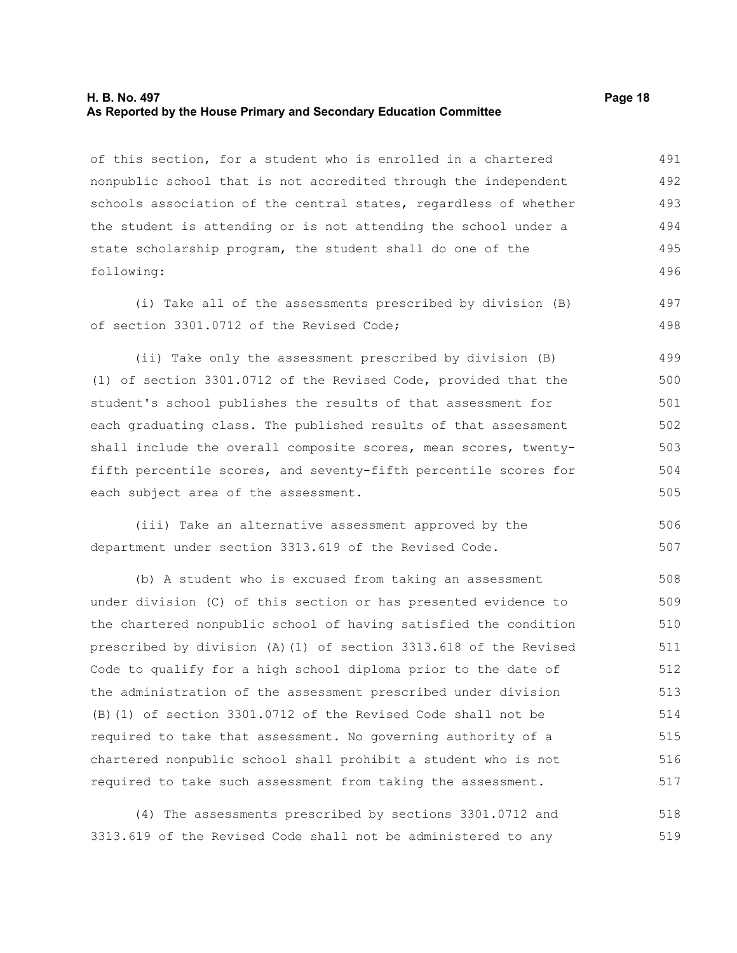#### **H. B. No. 497 Page 18 As Reported by the House Primary and Secondary Education Committee**

of this section, for a student who is enrolled in a chartered nonpublic school that is not accredited through the independent schools association of the central states, regardless of whether the student is attending or is not attending the school under a state scholarship program, the student shall do one of the following: 491 492 493 494 495 496

(i) Take all of the assessments prescribed by division (B) of section 3301.0712 of the Revised Code;

(ii) Take only the assessment prescribed by division (B) (1) of section 3301.0712 of the Revised Code, provided that the student's school publishes the results of that assessment for each graduating class. The published results of that assessment shall include the overall composite scores, mean scores, twentyfifth percentile scores, and seventy-fifth percentile scores for each subject area of the assessment. 499 500 501 502 503 504 505

(iii) Take an alternative assessment approved by the department under section 3313.619 of the Revised Code. 506 507

(b) A student who is excused from taking an assessment under division (C) of this section or has presented evidence to the chartered nonpublic school of having satisfied the condition prescribed by division (A)(1) of section 3313.618 of the Revised Code to qualify for a high school diploma prior to the date of the administration of the assessment prescribed under division (B)(1) of section 3301.0712 of the Revised Code shall not be required to take that assessment. No governing authority of a chartered nonpublic school shall prohibit a student who is not required to take such assessment from taking the assessment. 508 509 510 511 512 513 514 515 516 517

(4) The assessments prescribed by sections 3301.0712 and 3313.619 of the Revised Code shall not be administered to any 518 519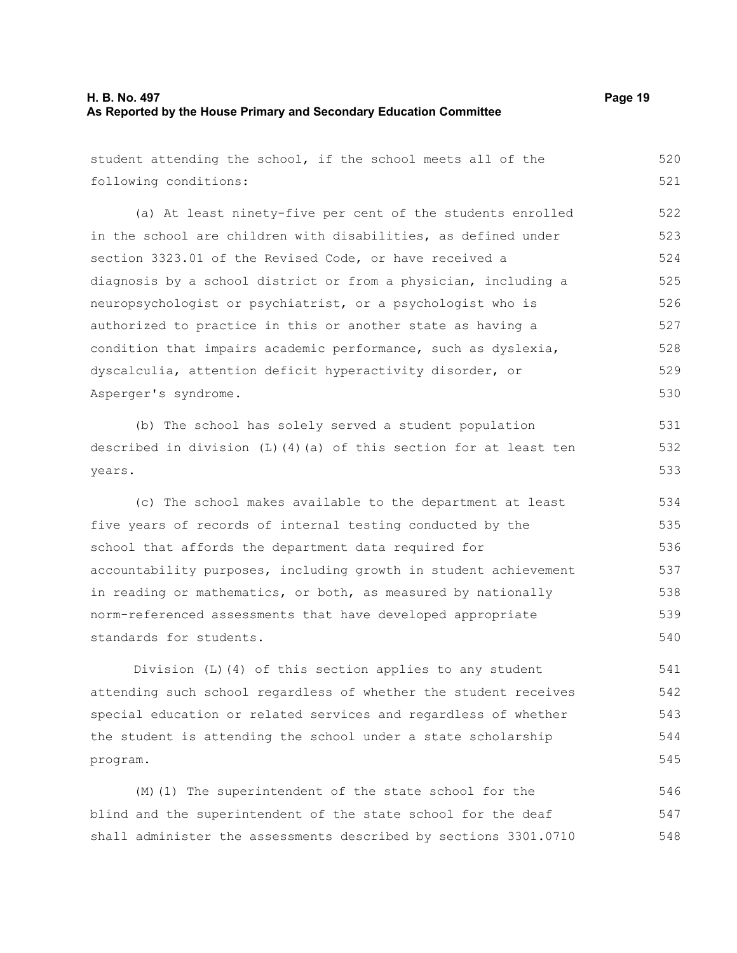## **H. B. No. 497 Page 19 As Reported by the House Primary and Secondary Education Committee**

student attending the school, if the school meets all of the following conditions: (a) At least ninety-five per cent of the students enrolled in the school are children with disabilities, as defined under section 3323.01 of the Revised Code, or have received a diagnosis by a school district or from a physician, including a neuropsychologist or psychiatrist, or a psychologist who is authorized to practice in this or another state as having a condition that impairs academic performance, such as dyslexia, dyscalculia, attention deficit hyperactivity disorder, or Asperger's syndrome. (b) The school has solely served a student population described in division  $(L)$  (4)(a) of this section for at least ten years. 521 522 523 524 525 526 527 528 529 530 531 532 533

(c) The school makes available to the department at least five years of records of internal testing conducted by the school that affords the department data required for accountability purposes, including growth in student achievement in reading or mathematics, or both, as measured by nationally norm-referenced assessments that have developed appropriate standards for students. 534 535 536 537 538 539 540

Division (L)(4) of this section applies to any student attending such school regardless of whether the student receives special education or related services and regardless of whether the student is attending the school under a state scholarship program.

(M)(1) The superintendent of the state school for the blind and the superintendent of the state school for the deaf shall administer the assessments described by sections 3301.0710 546 547 548

520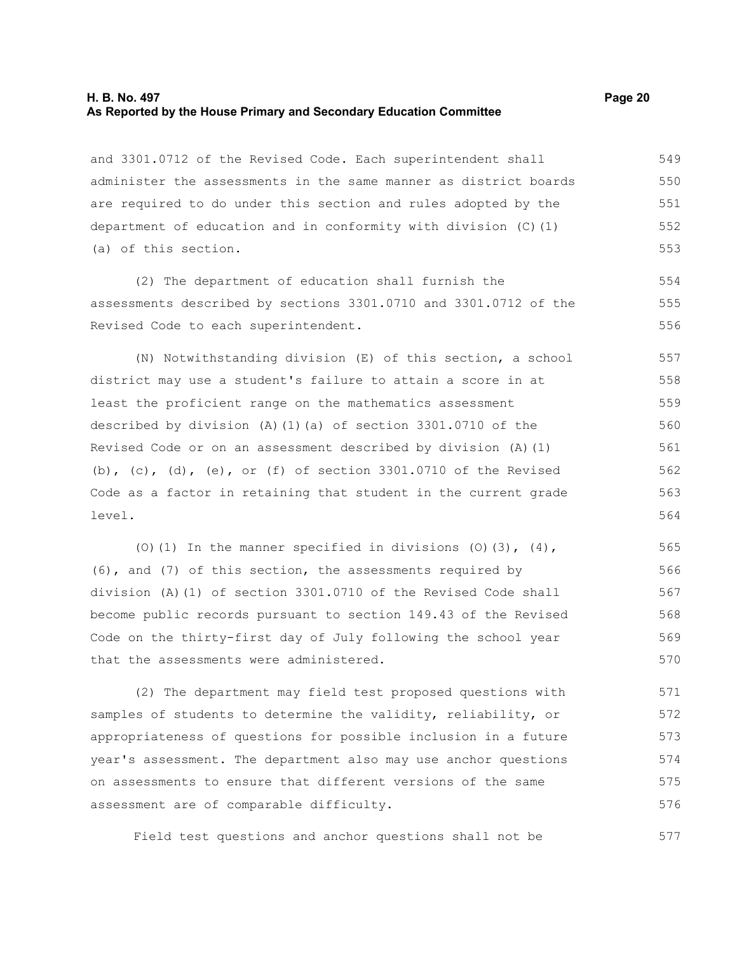#### **H. B. No. 497 Page 20 As Reported by the House Primary and Secondary Education Committee**

and 3301.0712 of the Revised Code. Each superintendent shall administer the assessments in the same manner as district boards are required to do under this section and rules adopted by the department of education and in conformity with division (C)(1) (a) of this section. 549 550 551 552 553

(2) The department of education shall furnish the assessments described by sections 3301.0710 and 3301.0712 of the Revised Code to each superintendent.

(N) Notwithstanding division (E) of this section, a school district may use a student's failure to attain a score in at least the proficient range on the mathematics assessment described by division  $(A)$  (1)(a) of section 3301.0710 of the Revised Code or on an assessment described by division (A)(1) (b), (c), (d), (e), or (f) of section 3301.0710 of the Revised Code as a factor in retaining that student in the current grade level. 557 558 559 560 561 562 563 564

(O)(1) In the manner specified in divisions (O)(3),  $(4)$ , (6), and (7) of this section, the assessments required by division (A)(1) of section 3301.0710 of the Revised Code shall become public records pursuant to section 149.43 of the Revised Code on the thirty-first day of July following the school year that the assessments were administered. 565 566 567 568 569 570

(2) The department may field test proposed questions with samples of students to determine the validity, reliability, or appropriateness of questions for possible inclusion in a future year's assessment. The department also may use anchor questions on assessments to ensure that different versions of the same assessment are of comparable difficulty. 571 572 573 574 575 576

Field test questions and anchor questions shall not be

554 555 556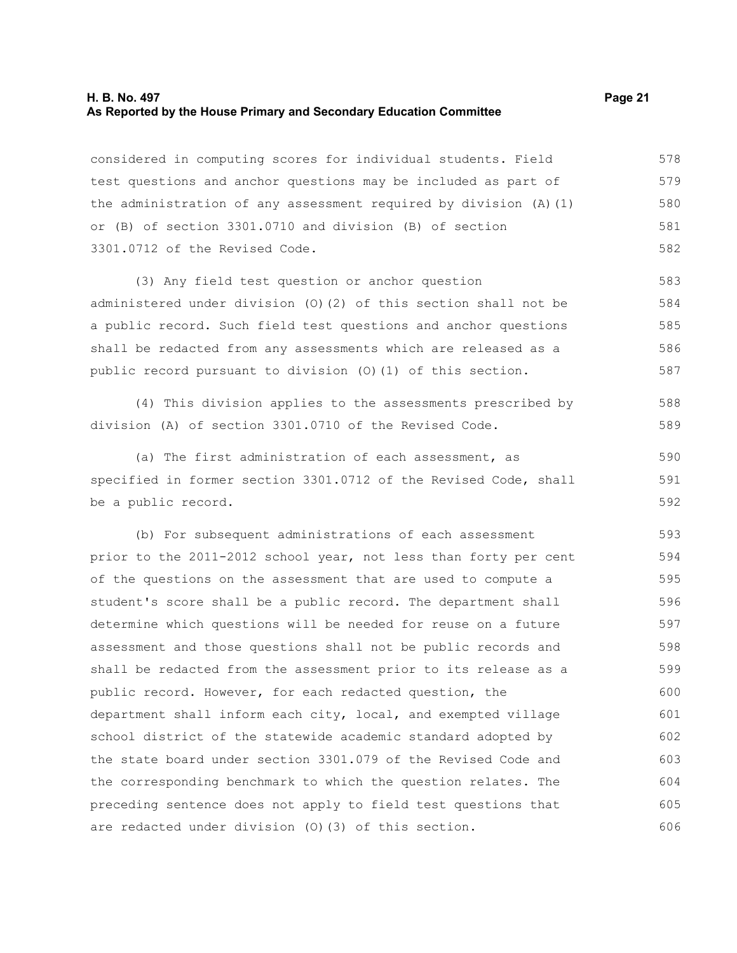#### **H. B. No. 497 Page 21 As Reported by the House Primary and Secondary Education Committee**

considered in computing scores for individual students. Field test questions and anchor questions may be included as part of the administration of any assessment required by division (A)(1) or (B) of section 3301.0710 and division (B) of section 3301.0712 of the Revised Code. 578 579 580 581 582

(3) Any field test question or anchor question administered under division (O)(2) of this section shall not be a public record. Such field test questions and anchor questions shall be redacted from any assessments which are released as a public record pursuant to division (O)(1) of this section. 583 584 585 586 587

(4) This division applies to the assessments prescribed by division (A) of section 3301.0710 of the Revised Code. 588 589

(a) The first administration of each assessment, as specified in former section 3301.0712 of the Revised Code, shall be a public record. 590 591 592

(b) For subsequent administrations of each assessment prior to the 2011-2012 school year, not less than forty per cent of the questions on the assessment that are used to compute a student's score shall be a public record. The department shall determine which questions will be needed for reuse on a future assessment and those questions shall not be public records and shall be redacted from the assessment prior to its release as a public record. However, for each redacted question, the department shall inform each city, local, and exempted village school district of the statewide academic standard adopted by the state board under section 3301.079 of the Revised Code and the corresponding benchmark to which the question relates. The preceding sentence does not apply to field test questions that are redacted under division (O)(3) of this section. 593 594 595 596 597 598 599 600 601 602 603 604 605 606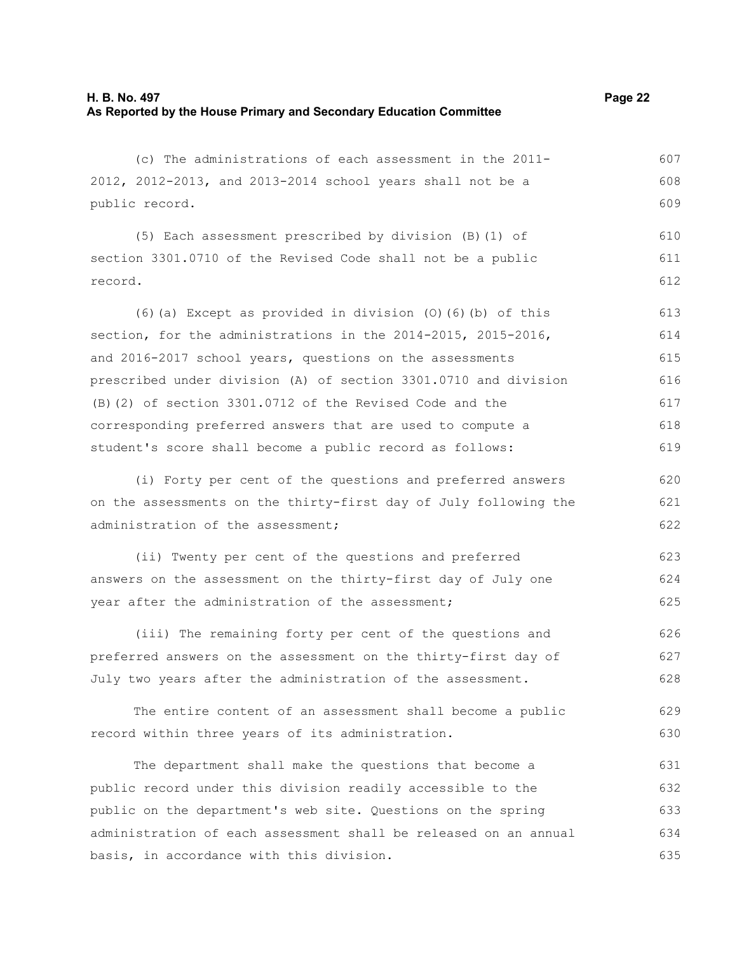(c) The administrations of each assessment in the 2011- 2012, 2012-2013, and 2013-2014 school years shall not be a public record.

(5) Each assessment prescribed by division (B)(1) of section 3301.0710 of the Revised Code shall not be a public record. 610 611 612

(6)(a) Except as provided in division (O)(6)(b) of this section, for the administrations in the 2014-2015, 2015-2016, and 2016-2017 school years, questions on the assessments prescribed under division (A) of section 3301.0710 and division (B)(2) of section 3301.0712 of the Revised Code and the corresponding preferred answers that are used to compute a student's score shall become a public record as follows: 613 614 615 616 617 618 619

(i) Forty per cent of the questions and preferred answers on the assessments on the thirty-first day of July following the administration of the assessment; 620 621 622

(ii) Twenty per cent of the questions and preferred answers on the assessment on the thirty-first day of July one year after the administration of the assessment; 623 624 625

(iii) The remaining forty per cent of the questions and preferred answers on the assessment on the thirty-first day of July two years after the administration of the assessment. 626 627 628

The entire content of an assessment shall become a public record within three years of its administration. 629 630

The department shall make the questions that become a public record under this division readily accessible to the public on the department's web site. Questions on the spring administration of each assessment shall be released on an annual basis, in accordance with this division. 631 632 633 634 635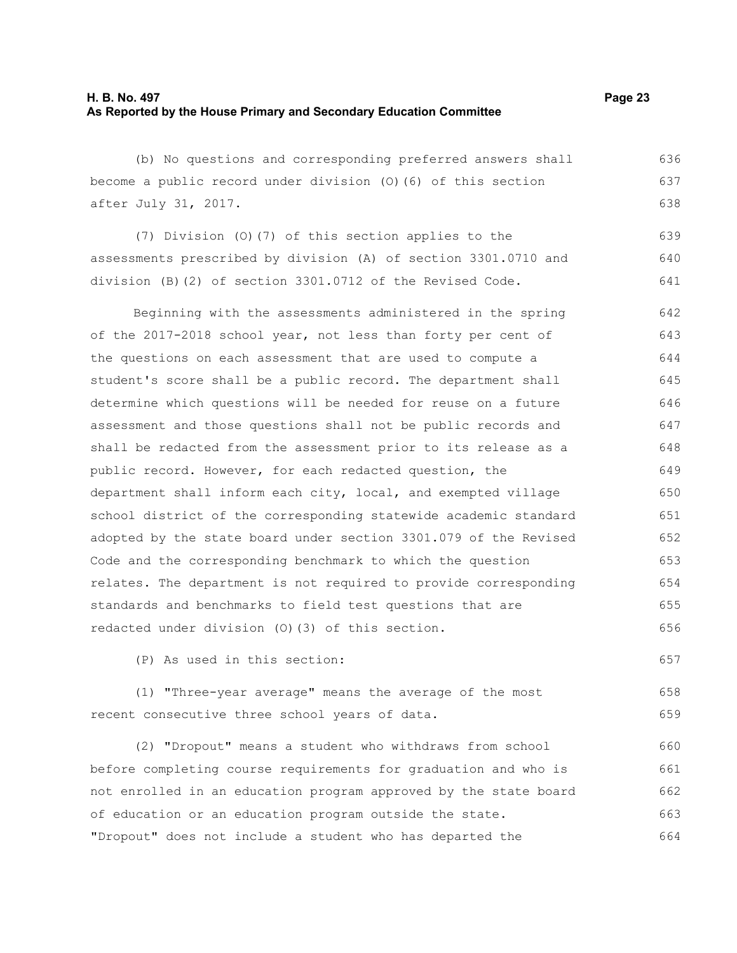## **H. B. No. 497 Page 23 As Reported by the House Primary and Secondary Education Committee**

(b) No questions and corresponding preferred answers shall become a public record under division (O)(6) of this section after July 31, 2017.

(7) Division (O)(7) of this section applies to the assessments prescribed by division (A) of section 3301.0710 and division (B)(2) of section 3301.0712 of the Revised Code. 639 640 641

Beginning with the assessments administered in the spring of the 2017-2018 school year, not less than forty per cent of the questions on each assessment that are used to compute a student's score shall be a public record. The department shall determine which questions will be needed for reuse on a future assessment and those questions shall not be public records and shall be redacted from the assessment prior to its release as a public record. However, for each redacted question, the department shall inform each city, local, and exempted village school district of the corresponding statewide academic standard adopted by the state board under section 3301.079 of the Revised Code and the corresponding benchmark to which the question relates. The department is not required to provide corresponding standards and benchmarks to field test questions that are redacted under division (O)(3) of this section. 642 643 644 645 646 647 648 649 650 651 652 653 654 655 656

(P) As used in this section:

(1) "Three-year average" means the average of the most recent consecutive three school years of data. 658 659

(2) "Dropout" means a student who withdraws from school before completing course requirements for graduation and who is not enrolled in an education program approved by the state board of education or an education program outside the state. "Dropout" does not include a student who has departed the 660 661 662 663 664

636 637 638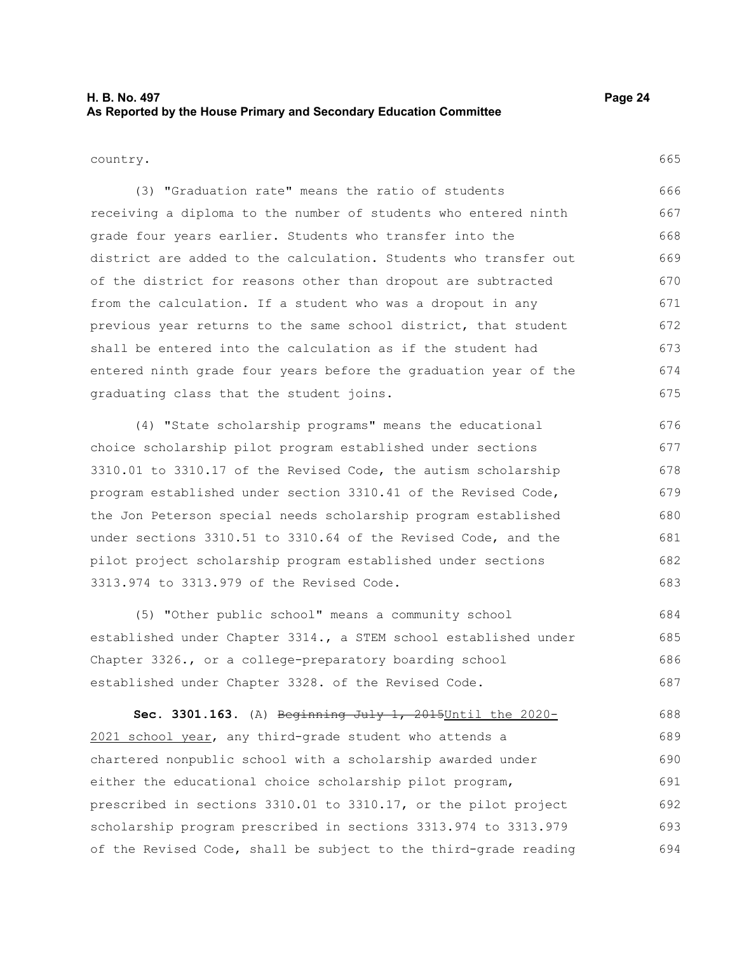## **H. B. No. 497 Page 24 As Reported by the House Primary and Secondary Education Committee**

#### country.

(3) "Graduation rate" means the ratio of students receiving a diploma to the number of students who entered ninth grade four years earlier. Students who transfer into the district are added to the calculation. Students who transfer out of the district for reasons other than dropout are subtracted from the calculation. If a student who was a dropout in any previous year returns to the same school district, that student shall be entered into the calculation as if the student had entered ninth grade four years before the graduation year of the graduating class that the student joins. 666 667 668 669 670 671 672 673 674 675

(4) "State scholarship programs" means the educational choice scholarship pilot program established under sections 3310.01 to 3310.17 of the Revised Code, the autism scholarship program established under section 3310.41 of the Revised Code, the Jon Peterson special needs scholarship program established under sections 3310.51 to 3310.64 of the Revised Code, and the pilot project scholarship program established under sections 3313.974 to 3313.979 of the Revised Code. 676 677 678 679 680 681 682 683

(5) "Other public school" means a community school established under Chapter 3314., a STEM school established under Chapter 3326., or a college-preparatory boarding school established under Chapter 3328. of the Revised Code. 684 685 686 687

**Sec. 3301.163.** (A) Beginning July 1, 2015Until the 2020- 2021 school year, any third-grade student who attends a chartered nonpublic school with a scholarship awarded under either the educational choice scholarship pilot program, prescribed in sections 3310.01 to 3310.17, or the pilot project scholarship program prescribed in sections 3313.974 to 3313.979 of the Revised Code, shall be subject to the third-grade reading 688 689 690 691 692 693 694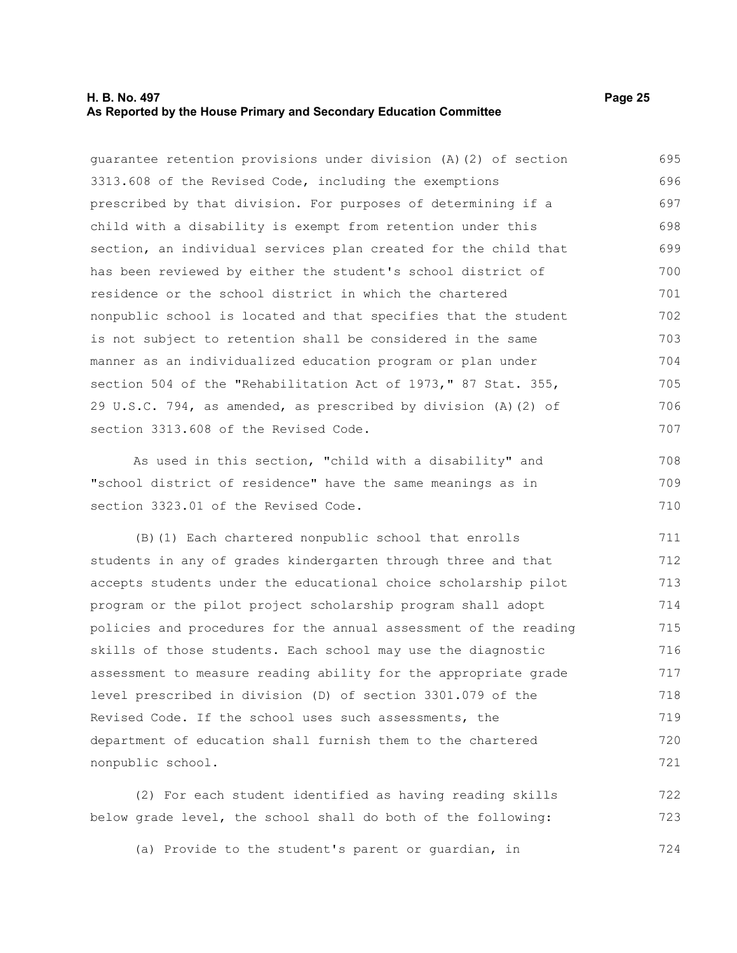#### **H. B. No. 497 Page 25 As Reported by the House Primary and Secondary Education Committee**

guarantee retention provisions under division (A)(2) of section 3313.608 of the Revised Code, including the exemptions prescribed by that division. For purposes of determining if a child with a disability is exempt from retention under this section, an individual services plan created for the child that has been reviewed by either the student's school district of residence or the school district in which the chartered nonpublic school is located and that specifies that the student is not subject to retention shall be considered in the same manner as an individualized education program or plan under section 504 of the "Rehabilitation Act of 1973," 87 Stat. 355, 29 U.S.C. 794, as amended, as prescribed by division (A)(2) of section 3313.608 of the Revised Code. 695 696 697 698 699 700 701 702 703 704 705 706 707

As used in this section, "child with a disability" and "school district of residence" have the same meanings as in section 3323.01 of the Revised Code. 708 709 710

(B)(1) Each chartered nonpublic school that enrolls students in any of grades kindergarten through three and that accepts students under the educational choice scholarship pilot program or the pilot project scholarship program shall adopt policies and procedures for the annual assessment of the reading skills of those students. Each school may use the diagnostic assessment to measure reading ability for the appropriate grade level prescribed in division (D) of section 3301.079 of the Revised Code. If the school uses such assessments, the department of education shall furnish them to the chartered nonpublic school. 711 712 713 714 715 716 717 718 719 720 721

(2) For each student identified as having reading skills below grade level, the school shall do both of the following: 722 723

(a) Provide to the student's parent or guardian, in 724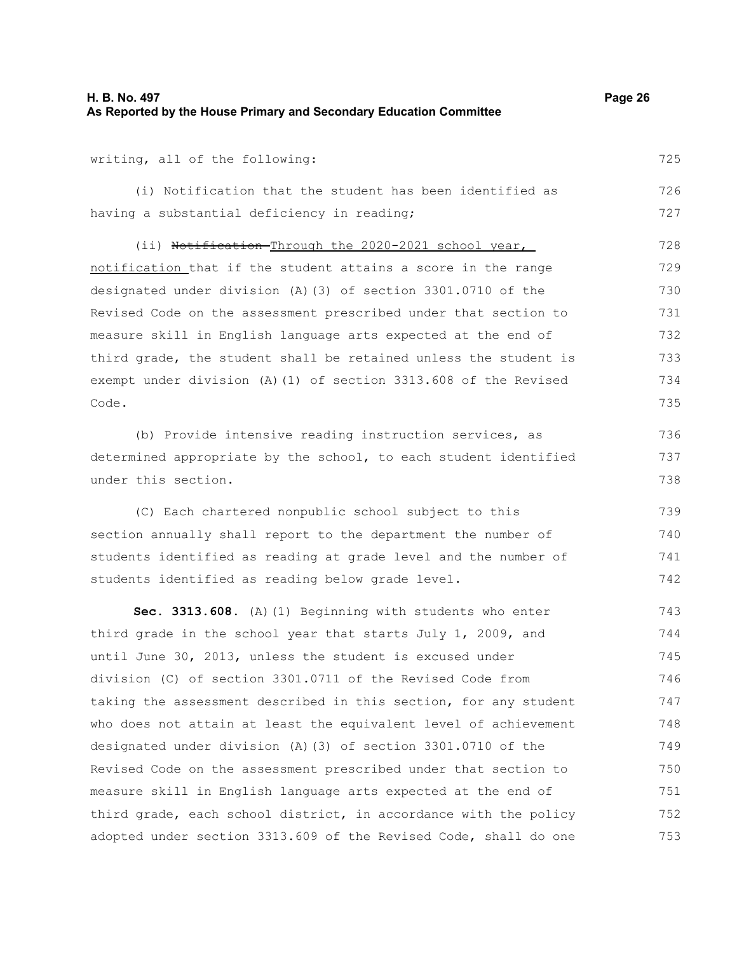725

736 737 738

|  |  | writing, all of the following: |
|--|--|--------------------------------|
|  |  |                                |

(i) Notification that the student has been identified as having a substantial deficiency in reading; 726 727

(ii) Notification-Through the 2020-2021 school year, notification that if the student attains a score in the range designated under division (A)(3) of section 3301.0710 of the Revised Code on the assessment prescribed under that section to measure skill in English language arts expected at the end of third grade, the student shall be retained unless the student is exempt under division (A)(1) of section 3313.608 of the Revised Code. 728 729 730 731 732 733 734 735

(b) Provide intensive reading instruction services, as determined appropriate by the school, to each student identified under this section.

(C) Each chartered nonpublic school subject to this section annually shall report to the department the number of students identified as reading at grade level and the number of students identified as reading below grade level. 739 740 741 742

**Sec. 3313.608.** (A)(1) Beginning with students who enter third grade in the school year that starts July 1, 2009, and until June 30, 2013, unless the student is excused under division (C) of section 3301.0711 of the Revised Code from taking the assessment described in this section, for any student who does not attain at least the equivalent level of achievement designated under division (A)(3) of section 3301.0710 of the Revised Code on the assessment prescribed under that section to measure skill in English language arts expected at the end of third grade, each school district, in accordance with the policy adopted under section 3313.609 of the Revised Code, shall do one 743 744 745 746 747 748 749 750 751 752 753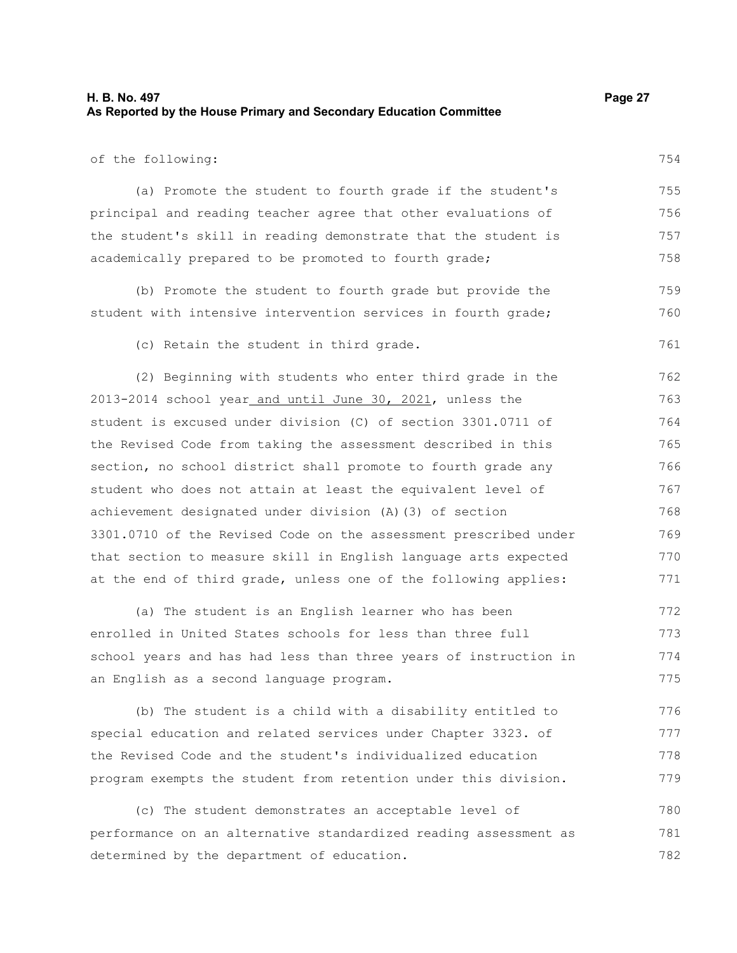## **H. B. No. 497 Page 27 As Reported by the House Primary and Secondary Education Committee**

of the following:

754

761

(a) Promote the student to fourth grade if the student's principal and reading teacher agree that other evaluations of the student's skill in reading demonstrate that the student is academically prepared to be promoted to fourth grade; 755 756 757 758

(b) Promote the student to fourth grade but provide the student with intensive intervention services in fourth grade; 759 760

(c) Retain the student in third grade.

(2) Beginning with students who enter third grade in the 2013-2014 school year and until June 30, 2021, unless the student is excused under division (C) of section 3301.0711 of the Revised Code from taking the assessment described in this section, no school district shall promote to fourth grade any student who does not attain at least the equivalent level of achievement designated under division (A)(3) of section 3301.0710 of the Revised Code on the assessment prescribed under that section to measure skill in English language arts expected at the end of third grade, unless one of the following applies: 762 763 764 765 766 767 768 769 770 771

(a) The student is an English learner who has been enrolled in United States schools for less than three full school years and has had less than three years of instruction in an English as a second language program. 772 773 774 775

(b) The student is a child with a disability entitled to special education and related services under Chapter 3323. of the Revised Code and the student's individualized education program exempts the student from retention under this division. 776 777 778 779

(c) The student demonstrates an acceptable level of performance on an alternative standardized reading assessment as determined by the department of education. 780 781 782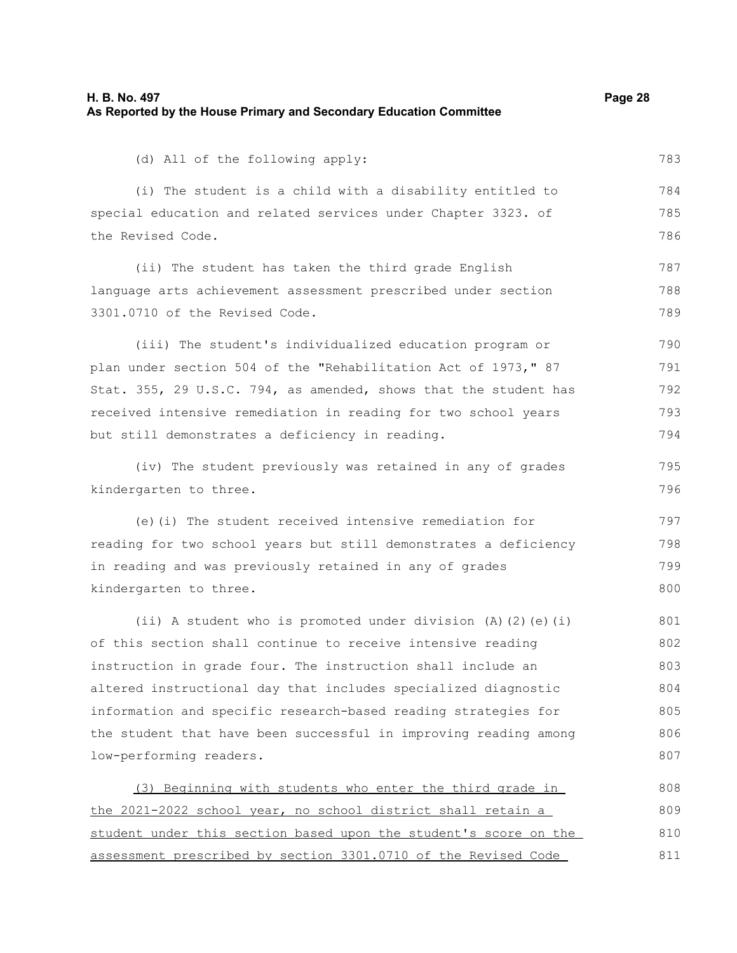783

796

(d) All of the following apply:

(i) The student is a child with a disability entitled to special education and related services under Chapter 3323. of the Revised Code. 784 785 786

(ii) The student has taken the third grade English language arts achievement assessment prescribed under section 3301.0710 of the Revised Code. 787 788 789

(iii) The student's individualized education program or plan under section 504 of the "Rehabilitation Act of 1973," 87 Stat. 355, 29 U.S.C. 794, as amended, shows that the student has received intensive remediation in reading for two school years but still demonstrates a deficiency in reading. 790 791 792 793 794

(iv) The student previously was retained in any of grades kindergarten to three. 795

(e)(i) The student received intensive remediation for reading for two school years but still demonstrates a deficiency in reading and was previously retained in any of grades kindergarten to three.

(ii) A student who is promoted under division (A)(2)(e)(i) of this section shall continue to receive intensive reading instruction in grade four. The instruction shall include an altered instructional day that includes specialized diagnostic information and specific research-based reading strategies for the student that have been successful in improving reading among low-performing readers. 801 802 803 804 805 806 807

(3) Beginning with students who enter the third grade in the 2021-2022 school year, no school district shall retain a student under this section based upon the student's score on the assessment prescribed by section 3301.0710 of the Revised Code 808 809 810 811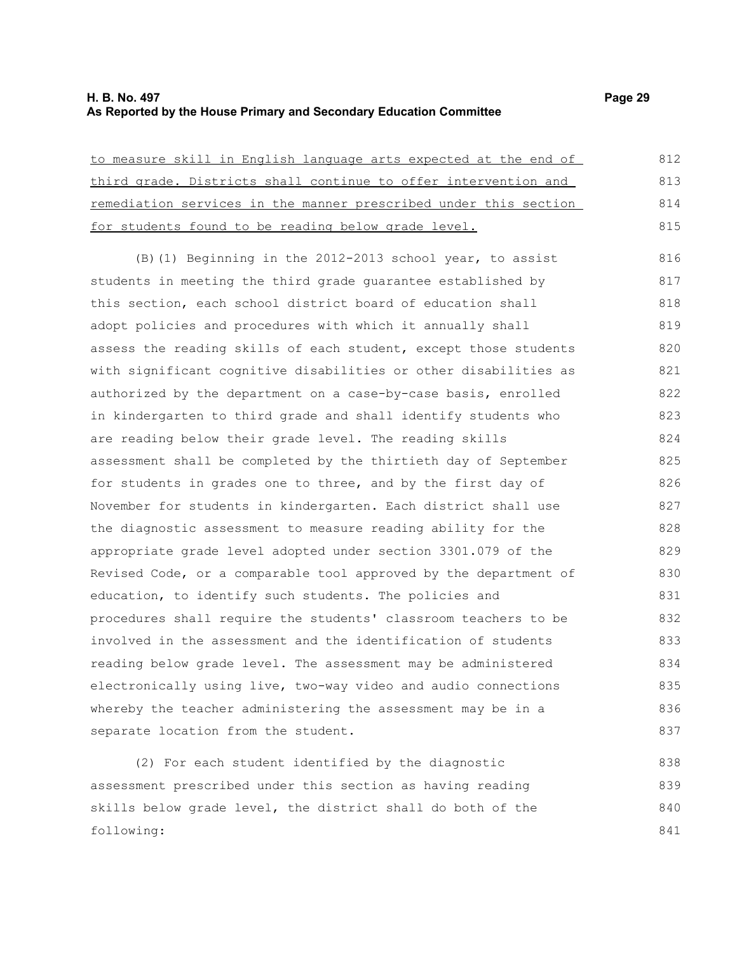## **H. B. No. 497 Page 29 As Reported by the House Primary and Secondary Education Committee**

| to measure skill in English language arts expected at the end of | 812 |
|------------------------------------------------------------------|-----|
| third grade. Districts shall continue to offer intervention and  | 813 |
| remediation services in the manner prescribed under this section | 814 |
| for students found to be reading below grade level.              | 815 |
| (B) (1) Beginning in the 2012-2013 school year, to assist        | 816 |
| students in meeting the third grade guarantee established by     | 817 |
| this section, each school district board of education shall      | 818 |
| adopt policies and procedures with which it annually shall       | 819 |
| assess the reading skills of each student, except those students | 820 |
| with significant cognitive disabilities or other disabilities as | 821 |
| authorized by the department on a case-by-case basis, enrolled   | 822 |
| in kindergarten to third grade and shall identify students who   | 823 |
| are reading below their grade level. The reading skills          | 824 |
| assessment shall be completed by the thirtieth day of September  | 825 |
| for students in grades one to three, and by the first day of     | 826 |
| November for students in kindergarten. Each district shall use   | 827 |
| the diagnostic assessment to measure reading ability for the     | 828 |
| appropriate grade level adopted under section 3301.079 of the    | 829 |
| Revised Code, or a comparable tool approved by the department of | 830 |
| education, to identify such students. The policies and           | 831 |
| procedures shall require the students' classroom teachers to be  | 832 |
| involved in the assessment and the identification of students    | 833 |
| reading below grade level. The assessment may be administered    | 834 |
| electronically using live, two-way video and audio connections   | 835 |
| whereby the teacher administering the assessment may be in a     | 836 |
| separate location from the student.                              | 837 |
| (2) For each student identified by the diagnostic                | 838 |

assessment prescribed under this section as having reading skills below grade level, the district shall do both of the following: 839 840 841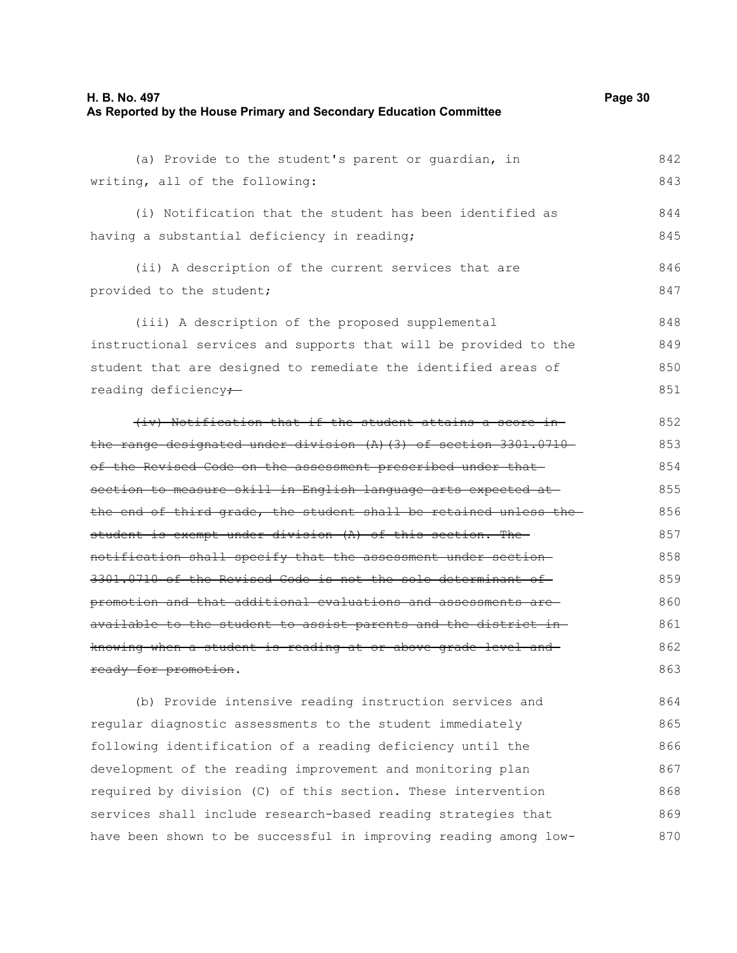(a) Provide to the student's parent or guardian, in writing, all of the following: (i) Notification that the student has been identified as having a substantial deficiency in reading; (ii) A description of the current services that are provided to the student; (iii) A description of the proposed supplemental instructional services and supports that will be provided to the student that are designed to remediate the identified areas of reading deficiency<del>;</del> (iv) Notification that if the student attains a score in the range designated under division (A)(3) of section 3301.0710 of the Revised Code on the assessment prescribed under that section to measure skill in English language arts expected at the end of third grade, the student shall be retained unless the student is exempt under division (A) of this section. The notification shall specify that the assessment under section 3301.0710 of the Revised Code is not the sole determinant of promotion and that additional evaluations and assessments are available to the student to assist parents and the district in knowing when a student is reading at or above grade level and ready for promotion. (b) Provide intensive reading instruction services and regular diagnostic assessments to the student immediately following identification of a reading deficiency until the development of the reading improvement and monitoring plan 842 843 844 845 846 847 848 849 850 851 852 853 854 855 856 857 858 859 860 861 862 863 864 865 866 867

required by division (C) of this section. These intervention services shall include research-based reading strategies that have been shown to be successful in improving reading among low-868 869 870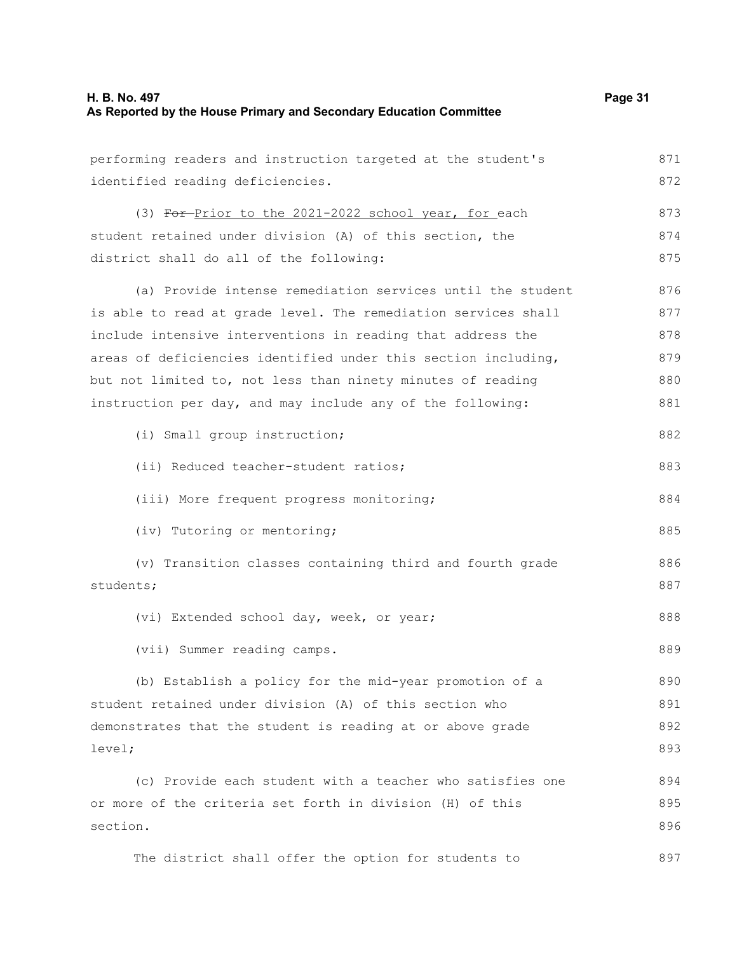| performing readers and instruction targeted at the student's   | 871 |
|----------------------------------------------------------------|-----|
| identified reading deficiencies.                               | 872 |
| (3) For Prior to the 2021-2022 school year, for each           | 873 |
| student retained under division (A) of this section, the       | 874 |
| district shall do all of the following:                        | 875 |
| (a) Provide intense remediation services until the student     | 876 |
| is able to read at grade level. The remediation services shall | 877 |
| include intensive interventions in reading that address the    | 878 |
| areas of deficiencies identified under this section including, | 879 |
| but not limited to, not less than ninety minutes of reading    | 880 |
| instruction per day, and may include any of the following:     | 881 |
| (i) Small group instruction;                                   | 882 |
| (ii) Reduced teacher-student ratios;                           | 883 |
| (iii) More frequent progress monitoring;                       | 884 |
| (iv) Tutoring or mentoring;                                    | 885 |
| (v) Transition classes containing third and fourth grade       | 886 |
| students;                                                      | 887 |
| (vi) Extended school day, week, or year;                       | 888 |
| (vii) Summer reading camps.                                    | 889 |
| (b) Establish a policy for the mid-year promotion of a         | 890 |
| student retained under division (A) of this section who        | 891 |
| demonstrates that the student is reading at or above grade     | 892 |
| level;                                                         | 893 |
| (c) Provide each student with a teacher who satisfies one      | 894 |
| or more of the criteria set forth in division (H) of this      | 895 |
| section.                                                       | 896 |
| The district shall offer the option for students to            | 897 |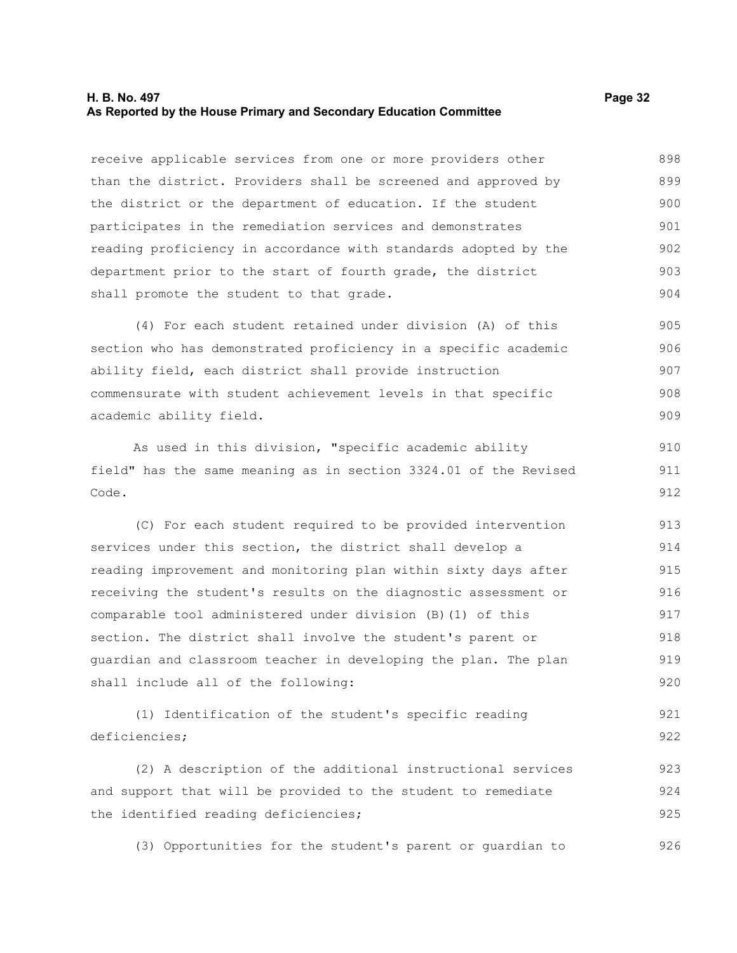#### **H. B. No. 497 Page 32 As Reported by the House Primary and Secondary Education Committee**

receive applicable services from one or more providers other than the district. Providers shall be screened and approved by the district or the department of education. If the student participates in the remediation services and demonstrates reading proficiency in accordance with standards adopted by the department prior to the start of fourth grade, the district shall promote the student to that grade. 898 899 900 901 902 903 904

(4) For each student retained under division (A) of this section who has demonstrated proficiency in a specific academic ability field, each district shall provide instruction commensurate with student achievement levels in that specific academic ability field. 905 906 907 908 909

As used in this division, "specific academic ability field" has the same meaning as in section 3324.01 of the Revised Code.

(C) For each student required to be provided intervention services under this section, the district shall develop a reading improvement and monitoring plan within sixty days after receiving the student's results on the diagnostic assessment or comparable tool administered under division (B)(1) of this section. The district shall involve the student's parent or guardian and classroom teacher in developing the plan. The plan shall include all of the following: 913 914 915 916 917 918 919 920

(1) Identification of the student's specific reading deficiencies; 921 922

(2) A description of the additional instructional services and support that will be provided to the student to remediate the identified reading deficiencies; 923 924 925

(3) Opportunities for the student's parent or guardian to 926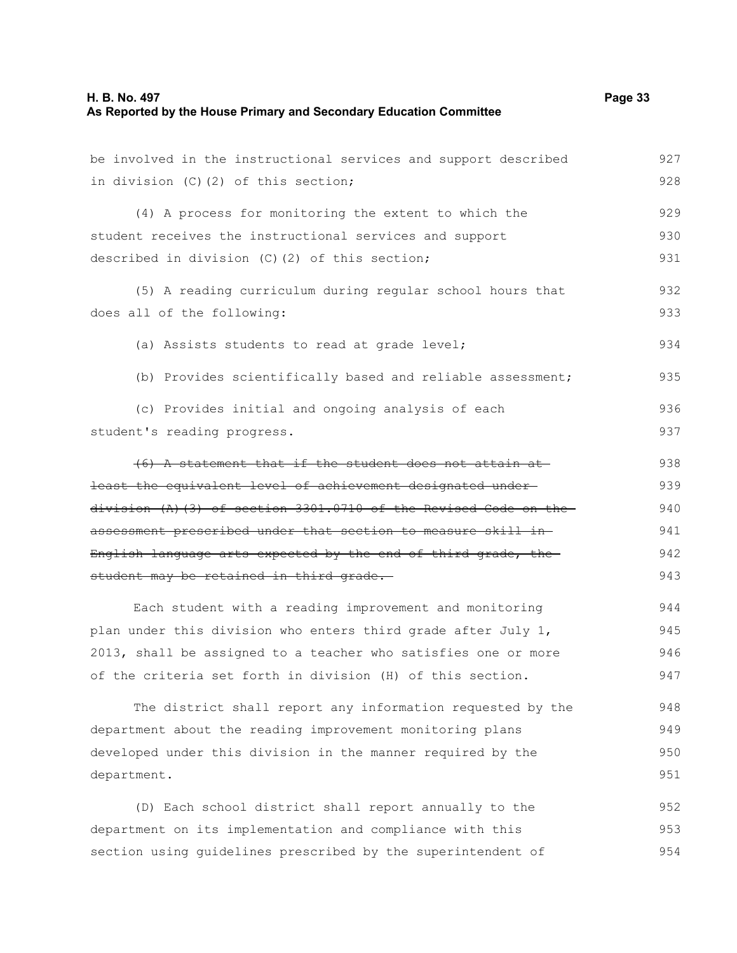| be involved in the instructional services and support described    | 927 |
|--------------------------------------------------------------------|-----|
| in division (C)(2) of this section;                                | 928 |
| (4) A process for monitoring the extent to which the               | 929 |
| student receives the instructional services and support            | 930 |
| described in division (C)(2) of this section;                      | 931 |
| (5) A reading curriculum during regular school hours that          | 932 |
| does all of the following:                                         | 933 |
| (a) Assists students to read at grade level;                       | 934 |
| (b) Provides scientifically based and reliable assessment;         | 935 |
| (c) Provides initial and ongoing analysis of each                  | 936 |
| student's reading progress.                                        | 937 |
| (6) A statement that if the student does not attain at             | 938 |
| least the equivalent level of achievement designated under-        | 939 |
| $division (A) (3)$ of section 3301.0710 of the Revised Code on the | 940 |
| assessment prescribed under that section to measure skill in-      | 941 |
| English language arts expected by the end of third grade, the      | 942 |
| student may be retained in third grade.                            | 943 |
| Each student with a reading improvement and monitoring             | 944 |
| plan under this division who enters third grade after July 1,      | 945 |
| 2013, shall be assigned to a teacher who satisfies one or more     | 946 |
| of the criteria set forth in division (H) of this section.         | 947 |
| The district shall report any information requested by the         | 948 |
| department about the reading improvement monitoring plans          | 949 |
| developed under this division in the manner required by the        | 950 |
| department.                                                        | 951 |
| (D) Each school district shall report annually to the              | 952 |
| department on its implementation and compliance with this          | 953 |
| section using guidelines prescribed by the superintendent of       | 954 |
|                                                                    |     |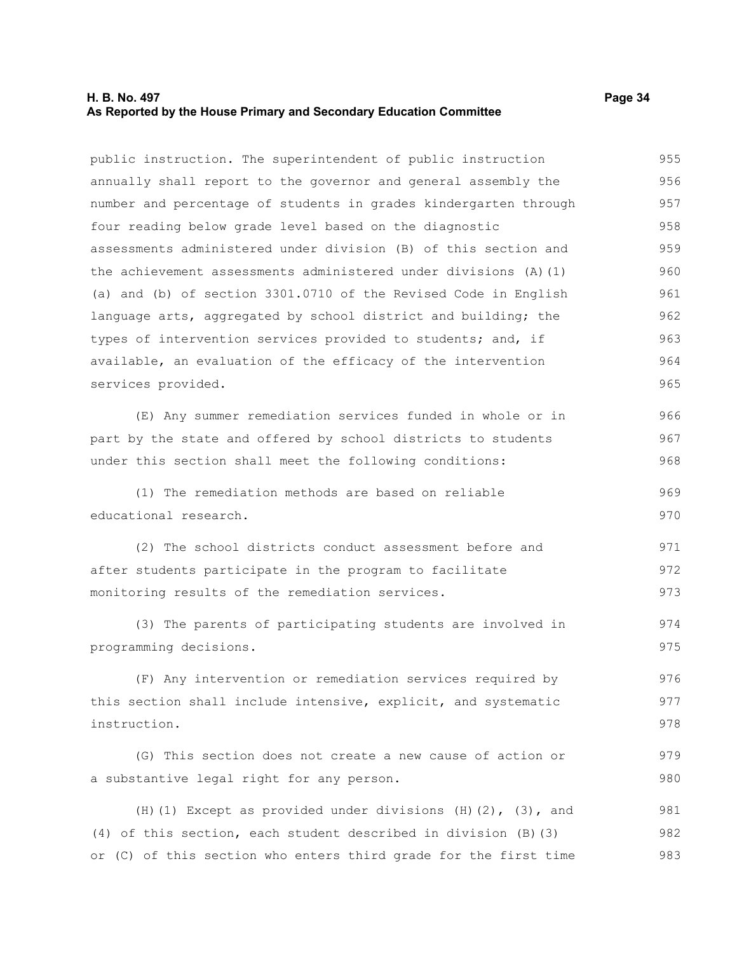#### **H. B. No. 497 Page 34 As Reported by the House Primary and Secondary Education Committee**

public instruction. The superintendent of public instruction annually shall report to the governor and general assembly the number and percentage of students in grades kindergarten through four reading below grade level based on the diagnostic assessments administered under division (B) of this section and the achievement assessments administered under divisions (A)(1) (a) and (b) of section 3301.0710 of the Revised Code in English language arts, aggregated by school district and building; the types of intervention services provided to students; and, if available, an evaluation of the efficacy of the intervention services provided. 955 956 957 958 959 960 961 962 963 964 965

(E) Any summer remediation services funded in whole or in part by the state and offered by school districts to students under this section shall meet the following conditions: 966 967 968

(1) The remediation methods are based on reliable educational research. 969 970

(2) The school districts conduct assessment before and after students participate in the program to facilitate monitoring results of the remediation services. 971 972 973

(3) The parents of participating students are involved in programming decisions. 974 975

(F) Any intervention or remediation services required by this section shall include intensive, explicit, and systematic instruction. 976 977 978

(G) This section does not create a new cause of action or a substantive legal right for any person.

(H)(1) Except as provided under divisions  $(H)(2)$ ,  $(3)$ , and (4) of this section, each student described in division (B)(3) or (C) of this section who enters third grade for the first time 981 982 983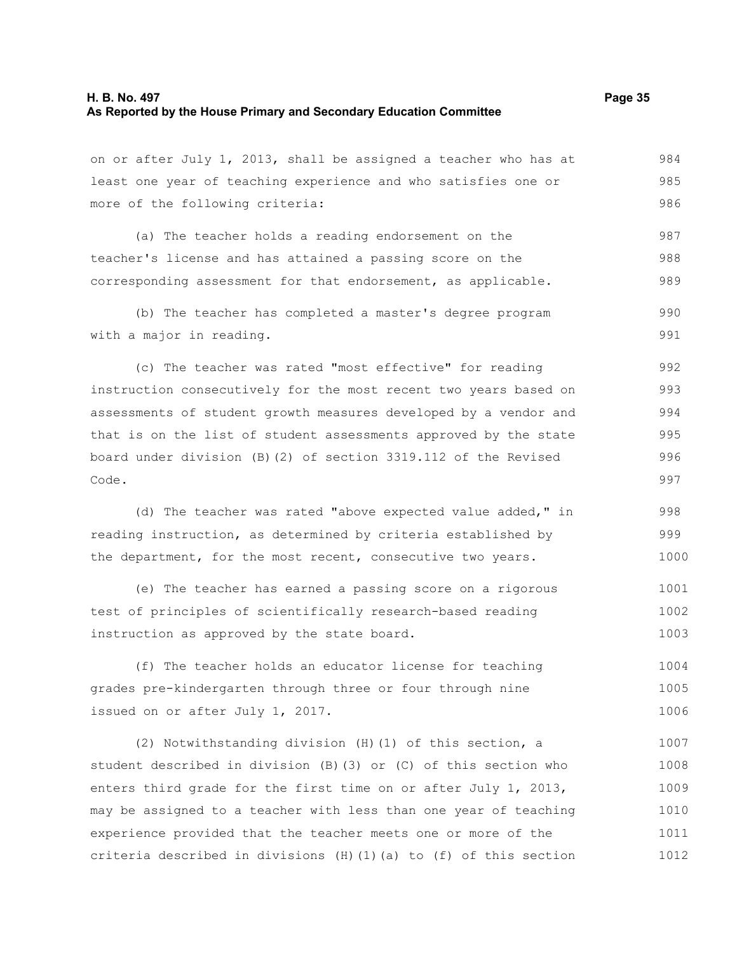on or after July 1, 2013, shall be assigned a teacher who has at least one year of teaching experience and who satisfies one or more of the following criteria: 984 985 986

(a) The teacher holds a reading endorsement on the teacher's license and has attained a passing score on the corresponding assessment for that endorsement, as applicable. 987 988 989

(b) The teacher has completed a master's degree program with a major in reading. 990 991

(c) The teacher was rated "most effective" for reading instruction consecutively for the most recent two years based on assessments of student growth measures developed by a vendor and that is on the list of student assessments approved by the state board under division (B)(2) of section 3319.112 of the Revised Code. 992 993 994 995 996 997

(d) The teacher was rated "above expected value added," in reading instruction, as determined by criteria established by the department, for the most recent, consecutive two years.

(e) The teacher has earned a passing score on a rigorous test of principles of scientifically research-based reading instruction as approved by the state board. 1001 1002 1003

(f) The teacher holds an educator license for teaching grades pre-kindergarten through three or four through nine issued on or after July 1, 2017. 1004 1005 1006

(2) Notwithstanding division (H)(1) of this section, a student described in division (B)(3) or (C) of this section who enters third grade for the first time on or after July 1, 2013, may be assigned to a teacher with less than one year of teaching experience provided that the teacher meets one or more of the criteria described in divisions (H)(1)(a) to (f) of this section 1007 1008 1009 1010 1011 1012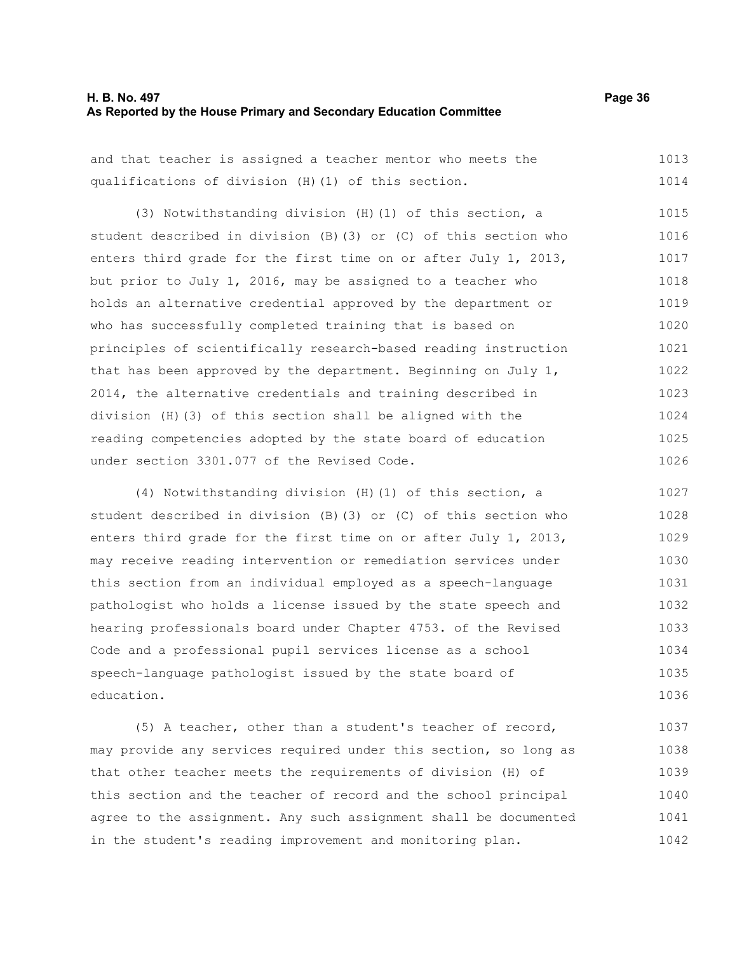#### **H. B. No. 497 Page 36 As Reported by the House Primary and Secondary Education Committee**

and that teacher is assigned a teacher mentor who meets the qualifications of division (H)(1) of this section. 1013 1014

(3) Notwithstanding division (H)(1) of this section, a student described in division (B)(3) or (C) of this section who enters third grade for the first time on or after July 1, 2013, but prior to July 1, 2016, may be assigned to a teacher who holds an alternative credential approved by the department or who has successfully completed training that is based on principles of scientifically research-based reading instruction that has been approved by the department. Beginning on July 1, 2014, the alternative credentials and training described in division (H)(3) of this section shall be aligned with the reading competencies adopted by the state board of education under section 3301.077 of the Revised Code. 1015 1016 1017 1018 1019 1020 1021 1022 1023 1024 1025 1026

(4) Notwithstanding division (H)(1) of this section, a student described in division (B)(3) or (C) of this section who enters third grade for the first time on or after July 1, 2013, may receive reading intervention or remediation services under this section from an individual employed as a speech-language pathologist who holds a license issued by the state speech and hearing professionals board under Chapter 4753. of the Revised Code and a professional pupil services license as a school speech-language pathologist issued by the state board of education. 1027 1028 1029 1030 1031 1032 1033 1034 1035 1036

(5) A teacher, other than a student's teacher of record, may provide any services required under this section, so long as that other teacher meets the requirements of division (H) of this section and the teacher of record and the school principal agree to the assignment. Any such assignment shall be documented in the student's reading improvement and monitoring plan. 1037 1038 1039 1040 1041 1042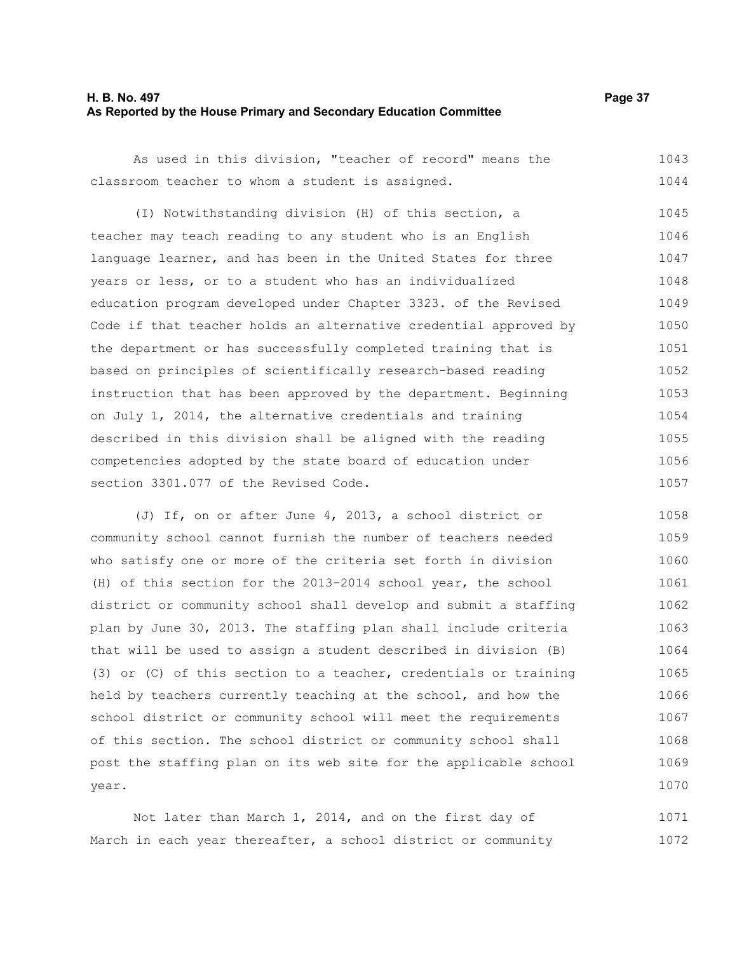#### **H. B. No. 497 Page 37 As Reported by the House Primary and Secondary Education Committee**

As used in this division, "teacher of record" means the classroom teacher to whom a student is assigned. 1043 1044

(I) Notwithstanding division (H) of this section, a teacher may teach reading to any student who is an English language learner, and has been in the United States for three years or less, or to a student who has an individualized education program developed under Chapter 3323. of the Revised Code if that teacher holds an alternative credential approved by the department or has successfully completed training that is based on principles of scientifically research-based reading instruction that has been approved by the department. Beginning on July 1, 2014, the alternative credentials and training described in this division shall be aligned with the reading competencies adopted by the state board of education under section 3301.077 of the Revised Code. 1045 1046 1047 1048 1049 1050 1051 1052 1053 1054 1055 1056 1057

(J) If, on or after June 4, 2013, a school district or community school cannot furnish the number of teachers needed who satisfy one or more of the criteria set forth in division (H) of this section for the 2013-2014 school year, the school district or community school shall develop and submit a staffing plan by June 30, 2013. The staffing plan shall include criteria that will be used to assign a student described in division (B) (3) or (C) of this section to a teacher, credentials or training held by teachers currently teaching at the school, and how the school district or community school will meet the requirements of this section. The school district or community school shall post the staffing plan on its web site for the applicable school year. 1058 1059 1060 1061 1062 1063 1064 1065 1066 1067 1068 1069 1070

Not later than March 1, 2014, and on the first day of March in each year thereafter, a school district or community 1071 1072